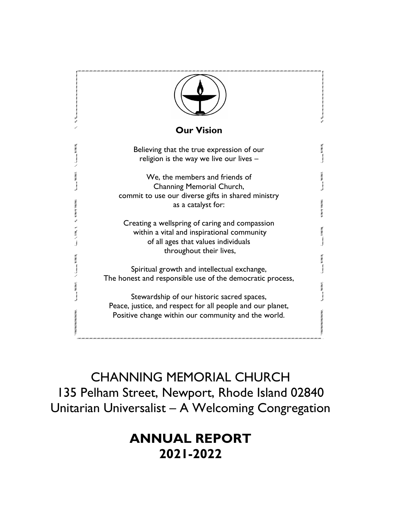

CHANNING MEMORIAL CHURCH 135 Pelham Street, Newport, Rhode Island 02840 Unitarian Universalist – A Welcoming Congregation

# **ANNUAL REPORT 2021-2022**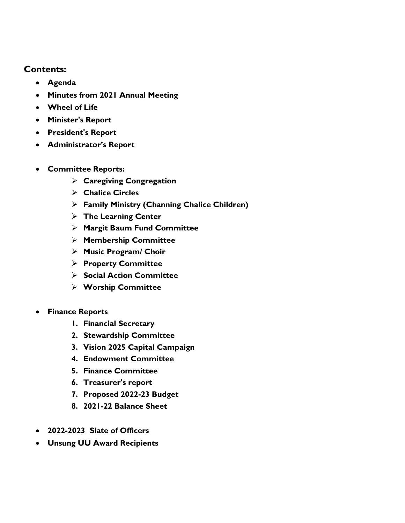**Contents:**

- **Agenda**
- **Minutes from 2021 Annual Meeting**
- **Wheel of Life**
- **Minister's Report**
- **President's Report**
- **Administrator's Report**
- **Committee Reports:** 
	- ➢ **Caregiving Congregation**
	- ➢ **Chalice Circles**
	- ➢ **Family Ministry (Channing Chalice Children)**
	- ➢ **The Learning Center**
	- ➢ **Margit Baum Fund Committee**
	- ➢ **Membership Committee**
	- ➢ **Music Program/ Choir**
	- ➢ **Property Committee**
	- ➢ **Social Action Committee**
	- ➢ **Worship Committee**
- **Finance Reports**
	- **1. Financial Secretary**
	- **2. Stewardship Committee**
	- **3. Vision 2025 Capital Campaign**
	- **4. Endowment Committee**
	- **5. Finance Committee**
	- **6. Treasurer's report**
	- **7. Proposed 2022-23 Budget**
	- **8. 2021-22 Balance Sheet**
- **2022-2023 Slate of Officers**
- **Unsung UU Award Recipients**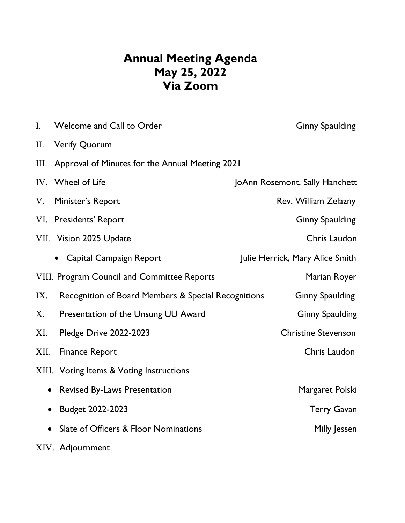# **Annual Meeting Agenda May 25, 2022 Via Zoom**

| I.        | Welcome and Call to Order                           | <b>Ginny Spaulding</b>          |
|-----------|-----------------------------------------------------|---------------------------------|
| II.       | <b>Verify Quorum</b>                                |                                 |
| Ш.        | Approval of Minutes for the Annual Meeting 2021     |                                 |
|           | IV. Wheel of Life                                   | JoAnn Rosemont, Sally Hanchett  |
| V.        | Minister's Report                                   | Rev. William Zelazny            |
|           | VI. Presidents' Report                              | <b>Ginny Spaulding</b>          |
|           | VII. Vision 2025 Update                             | Chris Laudon                    |
|           | • Capital Campaign Report                           | Julie Herrick, Mary Alice Smith |
|           | VIII. Program Council and Committee Reports         | Marian Royer                    |
| IX.       | Recognition of Board Members & Special Recognitions | <b>Ginny Spaulding</b>          |
| X.        | Presentation of the Unsung UU Award                 | <b>Ginny Spaulding</b>          |
| XI.       | <b>Pledge Drive 2022-2023</b>                       | <b>Christine Stevenson</b>      |
| XII.      | <b>Finance Report</b>                               | Chris Laudon                    |
|           | XIII. Voting Items & Voting Instructions            |                                 |
| $\bullet$ | <b>Revised By-Laws Presentation</b>                 | Margaret Polski                 |
| $\bullet$ | Budget 2022-2023                                    | <b>Terry Gavan</b>              |
| $\bullet$ | Slate of Officers & Floor Nominations               | Milly Jessen                    |
|           | XIV. Adjournment                                    |                                 |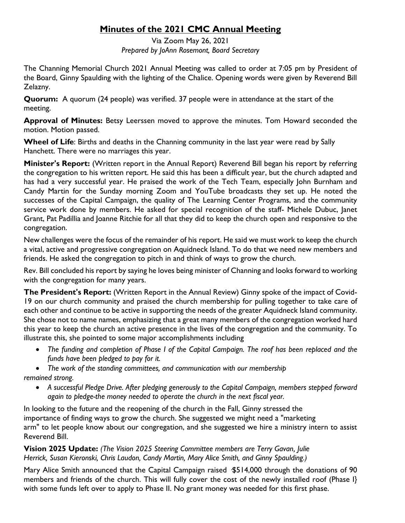## **Minutes of the 2021 CMC Annual Meeting**

Via Zoom May 26, 2021 *Prepared by JoAnn Rosemont, Board Secretary*

The Channing Memorial Church 2021 Annual Meeting was called to order at 7:05 pm by President of the Board, Ginny Spaulding with the lighting of the Chalice. Opening words were given by Reverend Bill Zelazny.

**Quorum:** A quorum (24 people) was verified. 37 people were in attendance at the start of the meeting.

**Approval of Minutes:** Betsy Leerssen moved to approve the minutes. Tom Howard seconded the motion. Motion passed.

**Wheel of Life**: Births and deaths in the Channing community in the last year were read by Sally Hanchett. There were no marriages this year.

**Minister's Report:** (Written report in the Annual Report) Reverend Bill began his report by referring the congregation to his written report. He said this has been a difficult year, but the church adapted and has had a very successful year. He praised the work of the Tech Team, especially John Burnham and Candy Martin for the Sunday morning Zoom and YouTube broadcasts they set up. He noted the successes of the Capital Campaign, the quality of The Learning Center Programs, and the community service work done by members. He asked for special recognition of the staff- Michele Dubuc, Janet Grant, Pat Padillia and Joanne Ritchie for all that they did to keep the church open and responsive to the congregation.

New challenges were the focus of the remainder of his report. He said we must work to keep the church a vital, active and progressive congregation on Aquidneck Island. To do that we need new members and friends. He asked the congregation to pitch in and think of ways to grow the church.

Rev. Bill concluded his report by saying he loves being minister of Channing and looks forward to working with the congregation for many years.

**The President's Report:** (Written Report in the Annual Review) Ginny spoke of the impact of Covid-19 on our church community and praised the church membership for pulling together to take care of each other and continue to be active in supporting the needs of the greater Aquidneck Island community. She chose not to name names, emphasizing that a great many members of the congregation worked hard this year to keep the church an active presence in the lives of the congregation and the community. To illustrate this, she pointed to some major accomplishments including

- *The funding and completion of Phase I of the Capital Campaign. The roof has been replaced and the funds have been pledged to pay for it.*
- *The work of the standing committees, and communication with our membership remained strong.*
	- *A successful Pledge Drive. After pledging generously to the Capital Campaign, members stepped forward again to pledge-the money needed to operate the church in the next fiscal year.*

In looking to the future and the reopening of the church in the Fall, Ginny stressed the importance of finding ways to grow the church. She suggested we might need a "marketing arm" to let people know about our congregation, and she suggested we hire a ministry intern to assist Reverend Bill.

**Vision 2025 Update:** *(The Vision 2025 Steering Committee members are Terry Gavan, Julie Herrick, Susan Kieronski, Chris Laudon, Candy Martin, Mary Alice Smith, and Ginny Spaulding.)* 

Mary Alice Smith announced that the Capital Campaign raised ·\$514,000 through the donations of 90 members and friends of the church. This will fully cover the cost of the newly installed roof (Phase I} with some funds left over to apply to Phase II. No grant money was needed for this first phase.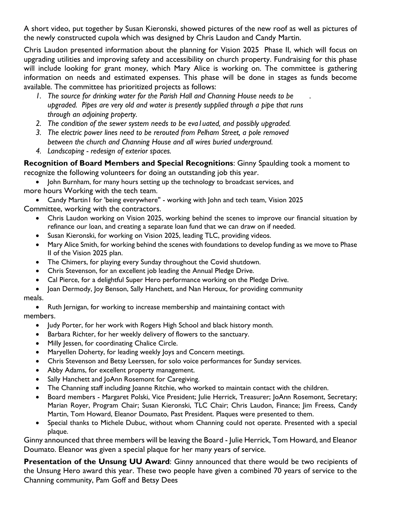A short video, put together by Susan Kieronski, showed pictures of the new roof as well as pictures of the newly constructed cupola which was designed by Chris Laudon and Candy Martin.

Chris Laudon presented information about the planning for Vision 2025 Phase II, which will focus on upgrading utilities and improving safety and accessibility on church property. Fundraising for this phase will include looking for grant money, which Mary Alice is working on. The committee is gathering information on needs and estimated expenses. This phase will be done in stages as funds become available. The committee has prioritized projects as follows:

- *1. The source for drinking water for the Parish Hall and Channing House needs to be . upgraded. Pipes are very old and water is presently supplied through a pipe that runs through an adjoining property.*
- *2. The condition of the sewer system needs to be eva1uated, and possibly upgraded.*
- *3. The electric power lines need to be rerouted from Pelham Street, a pole removed between the church and Channing House and all wires buried underground.*
- *4. Landscaping - redesign of exterior spaces.*

# **Recognition of Board Members and Special Recognitions**: Ginny Spaulding took a moment to

recognize the following volunteers for doing an outstanding job this year.

• John Burnham, for many hours setting up the technology to broadcast services, and more hours Working with the tech team.

- Candy Martin1 for 'being everywhere" working with John and tech team, Vision 2025 Committee, working with the contractors.
	- Chris Laudon working on Vision 2025, working behind the scenes to improve our financial situation by refinance our loan, and creating a separate loan fund that we can draw on if needed.
	- Susan Kieronski, for working on Vision 2025, leading TLC, providing videos.
	- Mary Alice Smith, for working behind the scenes with foundations to develop funding as we move to Phase II of the Vision 2025 plan.
	- The Chimers, for playing every Sunday throughout the Covid shutdown.
	- Chris Stevenson, for an excellent job leading the Annual Pledge Drive.
	- Cal Pierce, for a delightful Super Hero performance working on the Pledge Drive.
	- Joan Dermody, Joy Benson, Sally Hanchett, and Nan Heroux, for providing community

#### meals.

- Ruth Jernigan, for working to increase membership and maintaining contact with members.
	- Judy Porter, for her work with Rogers High School and black history month.
	- Barbara Richter, for her weekly delivery of flowers to the sanctuary.
	- Milly Jessen, for coordinating Chalice Circle.
	- Maryellen Doherty, for leading weekly Joys and Concern meetings.
	- Chris Stevenson and Betsy Leerssen, for solo voice performances for Sunday services.
	- Abby Adams, for excellent property management.
	- Sally Hanchett and JoAnn Rosemont for Caregiving.
	- The Channing staff including Joanne Ritchie, who worked to maintain contact with the children.
	- Board members Margaret Polski, Vice President; Julie Herrick, Treasurer; JoAnn Rosemont, Secretary; Marian Royer, Program Chair; Susan Kieronski, TLC Chair; Chris Laudon, Finance; Jim Freess, Candy Martin, Tom Howard, Eleanor Doumato, Past President. Plaques were presented to them.
	- Special thanks to Michele Dubuc, without whom Channing could not operate. Presented with a special plaque.

Ginny announced that three members will be leaving the Board - Julie Herrick, Tom Howard, and Eleanor Doumato. Eleanor was given a special plaque for her many years of service.

**Presentation of the Unsung UU Award**: Ginny announced that there would be two recipients of the Unsung Hero award this year. These two people have given a combined 70 years of service to the Channing community, Pam Goff and Betsy Dees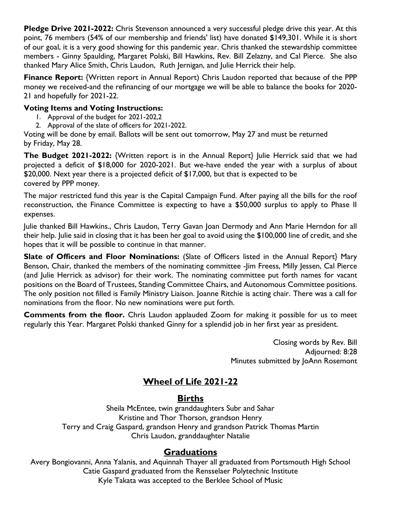**Pledge Drive 2021-2022:** Chris Stevenson announced a very successful pledge drive this year. At this point, 76 members (54% of our membership and friends' list) have donated \$149,301. While it is short of our goal, it is a very good showing for this pandemic year. Chris thanked the stewardship committee members - Ginny Spaulding, Margaret Polski, Bill Hawkins, Rev. Bill Zelazny, and Cal Pierce. She also thanked Mary Alice Smith, Chris Laudon, Ruth Jernigan, and Julie Herrick their help.

**Finance Report:** {Written report in Annual Report) Chris Laudon reported that because of the PPP money we received-and the refinancing of our mortgage we will be able to balance the books for 2020- 21 and hopefully for 2021-22.

#### **Voting Items and Voting Instructions:**

- 1. Approval of the budget for 2021-202,2
- 2. Approval of the slate of officers for 2021-2022.

Voting will be done by email. Ballots will be sent out tomorrow, May 27 and must be returned by Friday, May 28.

**The Budget 2021-2022:** {Written report is in the Annual Report} Julie Herrick said that we had projected a deficit of \$18,000 for 2020-2021. But we-have ended the year with a surplus of about \$20,000. Next year there is a projected deficit of \$17,000, but that is expected to be covered by PPP money.

The major restricted fund this year is the Capital Campaign Fund. After paying all the bills for the roof reconstruction, the Finance Committee is expecting to have a \$50,000 surplus to apply to Phase II expenses.

Julie thanked Bill Hawkins., Chris Laudon, Terry Gavan Joan Dermody and Ann Marie Herndon for all their help. Julie said in closing that it has been her goal to avoid using the \$100,000 line of credit, and she hopes that it will be possible to continue in that manner.

**Slate of Officers and Floor Nominations:** (Slate of Officers listed in the Annual Report} Mary Benson, Chair, thanked the members of the nominating committee -Jim Freess, Milly Jessen, Cal Pierce (and Julie Herrick as advisor) for their work. The nominating committee put forth names for vacant positions on the Board of Trustees, Standing Committee Chairs, and Autonomous Committee positions. The only position not filled is Family Ministry Liaison. Joanne Ritchie is acting chair. There was a call for nominations from the floor. No new nominations were put forth.

**Comments from the floor.** Chris Laudon applauded Zoom for making it possible for us to meet regularly this Year. Margaret Polski thanked Ginny for a splendid job in her first year as president.

> Closing words by Rev. Bill Adjourned: 8:28 Minutes submitted by JoAnn Rosemont

## **Wheel of Life 2021-22**

## **Births**

Sheila McEntee, twin granddaughters Subr and Sahar Kristine and Thor Thorson, grandson Henry Terry and Craig Gaspard, grandson Henry and grandson Patrick Thomas Martin Chris Laudon, granddaughter Natalie

## **Graduations**

Avery Bongiovanni, Anna Yalanis, and Aquinnah Thayer all graduated from Portsmouth High School Catie Gaspard graduated from the Rensselaer Polytechnic Institute Kyle Takata was accepted to the Berklee School of Music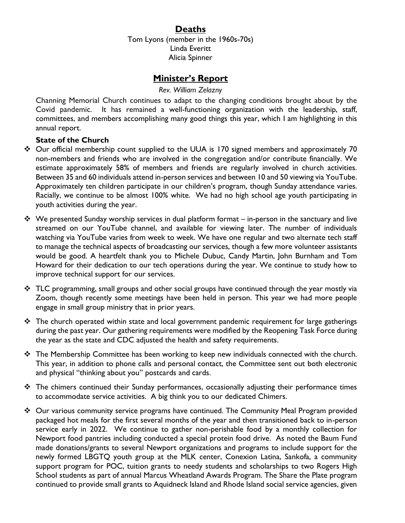## **Deaths**

Tom Lyons (member in the 1960s-70s) Linda Everitt Alicia Spinner

## **Minister's Report**

#### *Rev. William Zelazny*

Channing Memorial Church continues to adapt to the changing conditions brought about by the Covid pandemic. It has remained a well-functioning organization with the leadership, staff, committees, and members accomplishing many good things this year, which I am highlighting in this annual report.

#### **State of the Church**

- ❖ Our official membership count supplied to the UUA is 170 signed members and approximately 70 non-members and friends who are involved in the congregation and/or contribute financially. We estimate approximately 58% of members and friends are regularly involved in church activities. Between 35 and 60 individuals attend in-person services and between 10 and 50 viewing via YouTube. Approximately ten children participate in our children's program, though Sunday attendance varies. Racially, we continue to be almost 100% white. We had no high school age youth participating in youth activities during the year.
- ❖ We presented Sunday worship services in dual platform format in-person in the sanctuary and live streamed on our YouTube channel, and available for viewing later. The number of individuals watching via YouTube varies from week to week. We have one regular and two alternate tech staff to manage the technical aspects of broadcasting our services, though a few more volunteer assistants would be good. A heartfelt thank you to Michele Dubuc, Candy Martin, John Burnham and Tom Howard for their dedication to our tech operations during the year. We continue to study how to improve technical support for our services.
- ❖ TLC programming, small groups and other social groups have continued through the year mostly via Zoom, though recently some meetings have been held in person. This year we had more people engage in small group ministry that in prior years.
- ❖ The church operated within state and local government pandemic requirement for large gatherings during the past year. Our gathering requirements were modified by the Reopening Task Force during the year as the state and CDC adjusted the health and safety requirements.
- ❖ The Membership Committee has been working to keep new individuals connected with the church. This year, in addition to phone calls and personal contact, the Committee sent out both electronic and physical "thinking about you" postcards and cards.
- ❖ The chimers continued their Sunday performances, occasionally adjusting their performance times to accommodate service activities. A big think you to our dedicated Chimers.
- ❖ Our various community service programs have continued. The Community Meal Program provided packaged hot meals for the first several months of the year and then transitioned back to in-person service early in 2022. We continue to gather non-perishable food by a monthly collection for Newport food pantries including conducted a special protein food drive. As noted the Baum Fund made donations/grants to several Newport organizations and programs to include support for the newly formed LBGTQ youth group at the MLK center, Conexion Latina, Sankofa, a community support program for POC, tuition grants to needy students and scholarships to two Rogers High School students as part of annual Marcus Wheatland Awards Program. The Share the Plate program continued to provide small grants to Aquidneck Island and Rhode Island social service agencies, given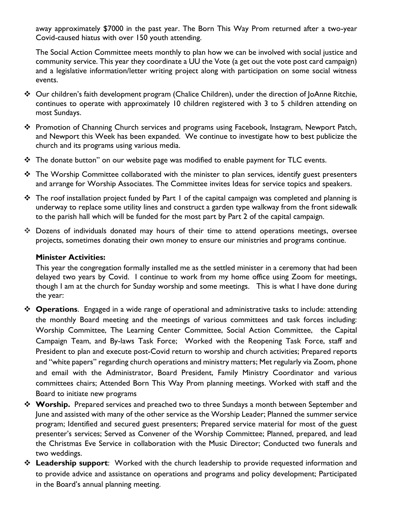away approximately \$7000 in the past year. The Born This Way Prom returned after a two-year Covid-caused hiatus with over 150 youth attending.

The Social Action Committee meets monthly to plan how we can be involved with social justice and community service. This year they coordinate a UU the Vote (a get out the vote post card campaign) and a legislative information/letter writing project along with participation on some social witness events.

- ❖ Our children's faith development program (Chalice Children), under the direction of JoAnne Ritchie, continues to operate with approximately 10 children registered with 3 to 5 children attending on most Sundays.
- ❖ Promotion of Channing Church services and programs using Facebook, Instagram, Newport Patch, and Newport this Week has been expanded. We continue to investigate how to best publicize the church and its programs using various media.
- ❖ The donate button" on our website page was modified to enable payment for TLC events.
- $\div$  The Worship Committee collaborated with the minister to plan services, identify guest presenters and arrange for Worship Associates. The Committee invites Ideas for service topics and speakers.
- ❖ The roof installation project funded by Part 1 of the capital campaign was completed and planning is underway to replace some utility lines and construct a garden type walkway from the front sidewalk to the parish hall which will be funded for the most part by Part 2 of the capital campaign.
- ❖ Dozens of individuals donated may hours of their time to attend operations meetings, oversee projects, sometimes donating their own money to ensure our ministries and programs continue.

#### **Minister Activities:**

This year the congregation formally installed me as the settled minister in a ceremony that had been delayed two years by Covid. I continue to work from my home office using Zoom for meetings, though I am at the church for Sunday worship and some meetings. This is what I have done during the year:

- ❖ **Operations**. Engaged in a wide range of operational and administrative tasks to include: attending the monthly Board meeting and the meetings of various committees and task forces including: Worship Committee, The Learning Center Committee, Social Action Committee, the Capital Campaign Team, and By-laws Task Force; Worked with the Reopening Task Force, staff and President to plan and execute post-Covid return to worship and church activities; Prepared reports and "white papers" regarding church operations and ministry matters; Met regularly via Zoom, phone and email with the Administrator, Board President, Family Ministry Coordinator and various committees chairs; Attended Born This Way Prom planning meetings. Worked with staff and the Board to initiate new programs
- ❖ **Worship.** Prepared services and preached two to three Sundays a month between September and June and assisted with many of the other service as the Worship Leader; Planned the summer service program; Identified and secured guest presenters; Prepared service material for most of the guest presenter's services; Served as Convener of the Worship Committee; Planned, prepared, and lead the Christmas Eve Service in collaboration with the Music Director; Conducted two funerals and two weddings.
- ❖ **Leadership support**: Worked with the church leadership to provide requested information and to provide advice and assistance on operations and programs and policy development; Participated in the Board's annual planning meeting.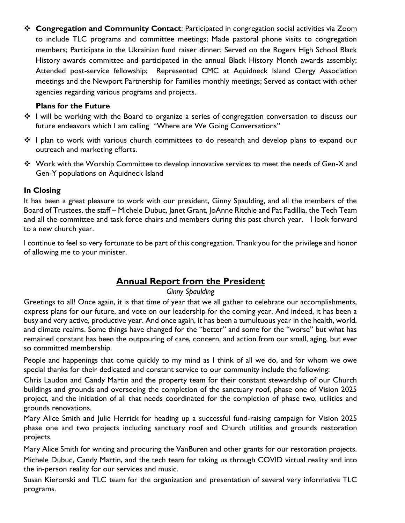❖ **Congregation and Community Contact**: Participated in congregation social activities via Zoom to include TLC programs and committee meetings; Made pastoral phone visits to congregation members; Participate in the Ukrainian fund raiser dinner; Served on the Rogers High School Black History awards committee and participated in the annual Black History Month awards assembly; Attended post-service fellowship; Represented CMC at Aquidneck Island Clergy Association meetings and the Newport Partnership for Families monthly meetings; Served as contact with other agencies regarding various programs and projects.

#### **Plans for the Future**

- ❖ I will be working with the Board to organize a series of congregation conversation to discuss our future endeavors which I am calling "Where are We Going Conversations"
- ❖ I plan to work with various church committees to do research and develop plans to expand our outreach and marketing efforts.
- ❖ Work with the Worship Committee to develop innovative services to meet the needs of Gen-X and Gen-Y populations on Aquidneck Island

## **In Closing**

It has been a great pleasure to work with our president, Ginny Spaulding, and all the members of the Board of Trustees, the staff – Michele Dubuc, Janet Grant, JoAnne Ritchie and Pat Padillia, the Tech Team and all the committee and task force chairs and members during this past church year. I look forward to a new church year.

I continue to feel so very fortunate to be part of this congregation. Thank you for the privilege and honor of allowing me to your minister.

## **Annual Report from the President**

#### *Ginny Spaulding*

Greetings to all! Once again, it is that time of year that we all gather to celebrate our accomplishments, express plans for our future, and vote on our leadership for the coming year. And indeed, it has been a busy and very active, productive year. And once again, it has been a tumultuous year in the health, world, and climate realms. Some things have changed for the "better" and some for the "worse" but what has remained constant has been the outpouring of care, concern, and action from our small, aging, but ever so committed membership.

People and happenings that come quickly to my mind as I think of all we do, and for whom we owe special thanks for their dedicated and constant service to our community include the following:

Chris Laudon and Candy Martin and the property team for their constant stewardship of our Church buildings and grounds and overseeing the completion of the sanctuary roof, phase one of Vision 2025 project, and the initiation of all that needs coordinated for the completion of phase two, utilities and grounds renovations.

Mary Alice Smith and Julie Herrick for heading up a successful fund-raising campaign for Vision 2025 phase one and two projects including sanctuary roof and Church utilities and grounds restoration projects.

Mary Alice Smith for writing and procuring the VanBuren and other grants for our restoration projects. Michele Dubuc, Candy Martin, and the tech team for taking us through COVID virtual reality and into the in-person reality for our services and music.

Susan Kieronski and TLC team for the organization and presentation of several very informative TLC programs.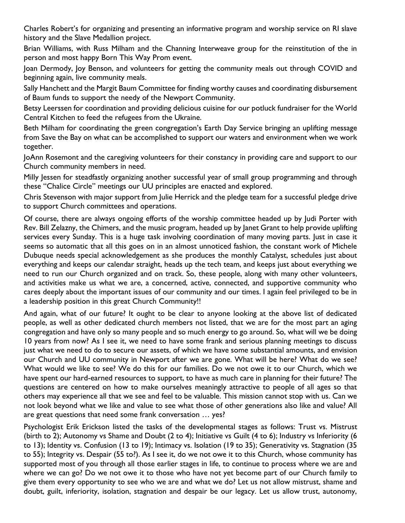Charles Robert's for organizing and presenting an informative program and worship service on RI slave history and the Slave Medallion project.

Brian Williams, with Russ Milham and the Channing Interweave group for the reinstitution of the in person and most happy Born This Way Prom event.

Joan Dermody, Joy Benson, and volunteers for getting the community meals out through COVID and beginning again, live community meals.

Sally Hanchett and the Margit Baum Committee for finding worthy causes and coordinating disbursement of Baum funds to support the needy of the Newport Community.

Betsy Leerssen for coordination and providing delicious cuisine for our potluck fundraiser for the World Central Kitchen to feed the refugees from the Ukraine.

Beth Milham for coordinating the green congregation's Earth Day Service bringing an uplifting message from Save the Bay on what can be accomplished to support our waters and environment when we work together.

JoAnn Rosemont and the caregiving volunteers for their constancy in providing care and support to our Church community members in need.

Milly Jessen for steadfastly organizing another successful year of small group programming and through these "Chalice Circle" meetings our UU principles are enacted and explored.

Chris Stevenson with major support from Julie Herrick and the pledge team for a successful pledge drive to support Church committees and operations.

Of course, there are always ongoing efforts of the worship committee headed up by Judi Porter with Rev. Bill Zelazny, the Chimers, and the music program, headed up by Janet Grant to help provide uplifting services every Sunday. This is a huge task involving coordination of many moving parts. Just in case it seems so automatic that all this goes on in an almost unnoticed fashion, the constant work of Michele Dubuque needs special acknowledgement as she produces the monthly Catalyst, schedules just about everything and keeps our calendar straight, heads up the tech team, and keeps just about everything we need to run our Church organized and on track. So, these people, along with many other volunteers, and activities make us what we are, a concerned, active, connected, and supportive community who cares deeply about the important issues of our community and our times. I again feel privileged to be in a leadership position in this great Church Community!!

And again, what of our future? It ought to be clear to anyone looking at the above list of dedicated people, as well as other dedicated church members not listed, that we are for the most part an aging congregation and have only so many people and so much energy to go around. So, what will we be doing 10 years from now? As I see it, we need to have some frank and serious planning meetings to discuss just what we need to do to secure our assets, of which we have some substantial amounts, and envision our Church and UU community in Newport after we are gone. What will be here? What do we see? What would we like to see? We do this for our families. Do we not owe it to our Church, which we have spent our hard-earned resources to support, to have as much care in planning for their future? The questions are centered on how to make ourselves meaningly attractive to people of all ages so that others may experience all that we see and feel to be valuable. This mission cannot stop with us. Can we not look beyond what we like and value to see what those of other generations also like and value? All are great questions that need some frank conversation … yes?

Psychologist Erik Erickson listed the tasks of the developmental stages as follows: Trust vs. Mistrust (birth to 2); Autonomy vs Shame and Doubt (2 to 4); Initiative vs Guilt (4 to 6); Industry vs Inferiority (6 to 13); Identity vs. Confusion (13 to 19); Intimacy vs. Isolation (19 to 35); Generativity vs. Stagnation (35 to 55); Integrity vs. Despair (55 to?). As I see it, do we not owe it to this Church, whose community has supported most of you through all those earlier stages in life, to continue to process where we are and where we can go? Do we not owe it to those who have not yet become part of our Church family to give them every opportunity to see who we are and what we do? Let us not allow mistrust, shame and doubt, guilt, inferiority, isolation, stagnation and despair be our legacy. Let us allow trust, autonomy,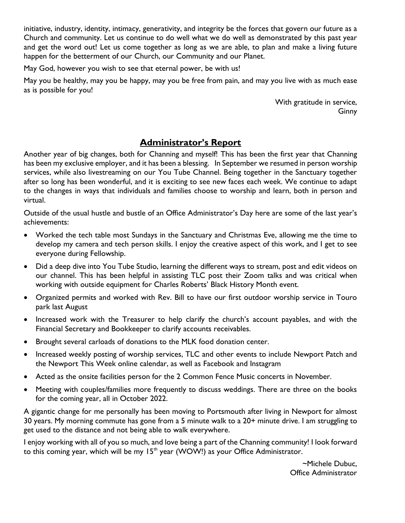initiative, industry, identity, intimacy, generativity, and integrity be the forces that govern our future as a Church and community. Let us continue to do well what we do well as demonstrated by this past year and get the word out! Let us come together as long as we are able, to plan and make a living future happen for the betterment of our Church, our Community and our Planet.

May God, however you wish to see that eternal power, be with us!

May you be healthy, may you be happy, may you be free from pain, and may you live with as much ease as is possible for you!

> With gratitude in service, Ginny

## **Administrator's Report**

Another year of big changes, both for Channing and myself! This has been the first year that Channing has been my exclusive employer, and it has been a blessing. In September we resumed in person worship services, while also livestreaming on our You Tube Channel. Being together in the Sanctuary together after so long has been wonderful, and it is exciting to see new faces each week. We continue to adapt to the changes in ways that individuals and families choose to worship and learn, both in person and virtual.

Outside of the usual hustle and bustle of an Office Administrator's Day here are some of the last year's achievements:

- Worked the tech table most Sundays in the Sanctuary and Christmas Eve, allowing me the time to develop my camera and tech person skills. I enjoy the creative aspect of this work, and I get to see everyone during Fellowship.
- Did a deep dive into You Tube Studio, learning the different ways to stream, post and edit videos on our channel. This has been helpful in assisting TLC post their Zoom talks and was critical when working with outside equipment for Charles Roberts' Black History Month event.
- Organized permits and worked with Rev. Bill to have our first outdoor worship service in Touro park last August
- Increased work with the Treasurer to help clarify the church's account payables, and with the Financial Secretary and Bookkeeper to clarify accounts receivables.
- Brought several carloads of donations to the MLK food donation center.
- Increased weekly posting of worship services, TLC and other events to include Newport Patch and the Newport This Week online calendar, as well as Facebook and Instagram
- Acted as the onsite facilities person for the 2 Common Fence Music concerts in November.
- Meeting with couples/families more frequently to discuss weddings. There are three on the books for the coming year, all in October 2022.

A gigantic change for me personally has been moving to Portsmouth after living in Newport for almost 30 years. My morning commute has gone from a 5 minute walk to a 20+ minute drive. I am struggling to get used to the distance and not being able to walk everywhere.

I enjoy working with all of you so much, and love being a part of the Channing community! I look forward to this coming year, which will be my  $15<sup>th</sup>$  year (WOW!) as your Office Administrator.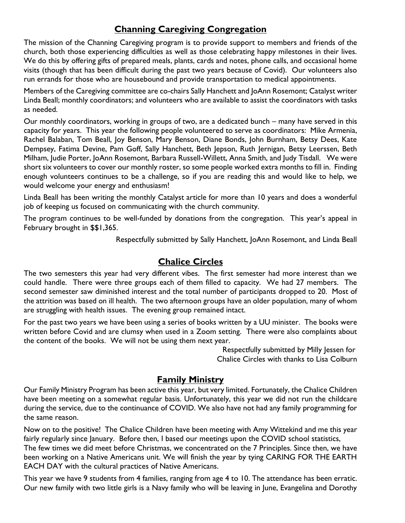## **Channing Caregiving Congregation**

The mission of the Channing Caregiving program is to provide support to members and friends of the church, both those experiencing difficulties as well as those celebrating happy milestones in their lives. We do this by offering gifts of prepared meals, plants, cards and notes, phone calls, and occasional home visits (though that has been difficult during the past two years because of Covid). Our volunteers also run errands for those who are housebound and provide transportation to medical appointments.

Members of the Caregiving committee are co-chairs Sally Hanchett and JoAnn Rosemont; Catalyst writer Linda Beall; monthly coordinators; and volunteers who are available to assist the coordinators with tasks as needed.

Our monthly coordinators, working in groups of two, are a dedicated bunch – many have served in this capacity for years. This year the following people volunteered to serve as coordinators: Mike Armenia, Rachel Balaban, Tom Beall, Joy Benson, Mary Benson, Diane Bonds, John Burnham, Betsy Dees, Kate Dempsey, Fatima Devine, Pam Goff, Sally Hanchett, Beth Jepson, Ruth Jernigan, Betsy Leerssen, Beth Milham, Judie Porter, JoAnn Rosemont, Barbara Russell-Willett, Anna Smith, and Judy Tisdall. We were short six volunteers to cover our monthly roster, so some people worked extra months to fill in. Finding enough volunteers continues to be a challenge, so if you are reading this and would like to help, we would welcome your energy and enthusiasm!

Linda Beall has been writing the monthly Catalyst article for more than 10 years and does a wonderful job of keeping us focused on communicating with the church community.

The program continues to be well-funded by donations from the congregation. This year's appeal in February brought in \$\$1,365.

Respectfully submitted by Sally Hanchett, JoAnn Rosemont, and Linda Beall

## **Chalice Circles**

The two semesters this year had very different vibes. The first semester had more interest than we could handle. There were three groups each of them filled to capacity. We had 27 members. The second semester saw diminished interest and the total number of participants dropped to 20. Most of the attrition was based on ill health. The two afternoon groups have an older population, many of whom are struggling with health issues. The evening group remained intact.

For the past two years we have been using a series of books written by a UU minister. The books were written before Covid and are clumsy when used in a Zoom setting. There were also complaints about the content of the books. We will not be using them next year.

> Respectfully submitted by Milly Jessen for Chalice Circles with thanks to Lisa Colburn

## **Family Ministry**

Our Family Ministry Program has been active this year, but very limited. Fortunately, the Chalice Children have been meeting on a somewhat regular basis. Unfortunately, this year we did not run the childcare during the service, due to the continuance of COVID. We also have not had any family programming for the same reason.

Now on to the positive! The Chalice Children have been meeting with Amy Wittekind and me this year fairly regularly since January. Before then, I based our meetings upon the COVID school statistics, The few times we did meet before Christmas, we concentrated on the 7 Principles. Since then, we have been working on a Native Americans unit. We will finish the year by tying CARING FOR THE EARTH

EACH DAY with the cultural practices of Native Americans.

This year we have 9 students from 4 families, ranging from age 4 to 10. The attendance has been erratic. Our new family with two little girls is a Navy family who will be leaving in June, Evangelina and Dorothy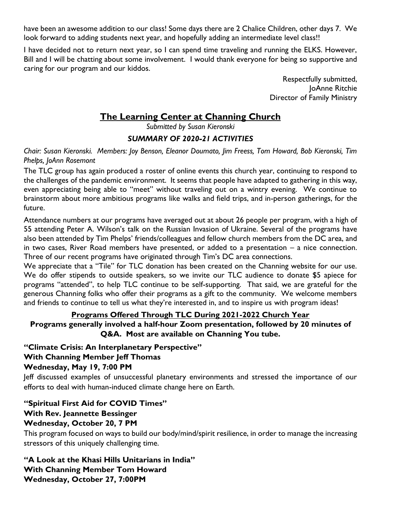have been an awesome addition to our class! Some days there are 2 Chalice Children, other days 7. We look forward to adding students next year, and hopefully adding an intermediate level class!!

I have decided not to return next year, so I can spend time traveling and running the ELKS. However, Bill and I will be chatting about some involvement. I would thank everyone for being so supportive and caring for our program and our kiddos.

> Respectfully submitted, JoAnne Ritchie Director of Family Ministry

## **The Learning Center at Channing Church**

*Submitted by Susan Kieronski*

## *SUMMARY OF 2020-21 ACTIVITIES*

*Chair: Susan Kieronski. Members: Joy Benson, Eleanor Doumato, Jim Freess, Tom Howard, Bob Kieronski, Tim Phelps, JoAnn Rosemont*

The TLC group has again produced a roster of online events this church year, continuing to respond to the challenges of the pandemic environment. It seems that people have adapted to gathering in this way, even appreciating being able to "meet" without traveling out on a wintry evening. We continue to brainstorm about more ambitious programs like walks and field trips, and in-person gatherings, for the future.

Attendance numbers at our programs have averaged out at about 26 people per program, with a high of 55 attending Peter A. Wilson's talk on the Russian Invasion of Ukraine. Several of the programs have also been attended by Tim Phelps' friends/colleagues and fellow church members from the DC area, and in two cases, River Road members have presented, or added to a presentation – a nice connection. Three of our recent programs have originated through Tim's DC area connections.

We appreciate that a "Tile" for TLC donation has been created on the Channing website for our use. We do offer stipends to outside speakers, so we invite our TLC audience to donate \$5 apiece for programs "attended", to help TLC continue to be self-supporting. That said, we are grateful for the generous Channing folks who offer their programs as a gift to the community. We welcome members and friends to continue to tell us what they're interested in, and to inspire us with program ideas!

## **Programs Offered Through TLC During 2021-2022 Church Year**

## **Programs generally involved a half-hour Zoom presentation, followed by 20 minutes of Q&A. Most are available on Channing You tube.**

**"Climate Crisis: An Interplanetary Perspective"** 

## **With Channing Member Jeff Thomas**

## **Wednesday, May 19, 7:00 PM**

Jeff discussed examples of unsuccessful planetary environments and stressed the importance of our efforts to deal with human-induced climate change here on Earth.

## **"Spiritual First Aid for COVID Times" With Rev. Jeannette Bessinger**

## **Wednesday, October 20, 7 PM**

This program focused on ways to build our body/mind/spirit resilience, in order to manage the increasing stressors of this uniquely challenging time.

## **"A Look at the Khasi Hills Unitarians in India" With Channing Member Tom Howard Wednesday, October 27, 7:00PM**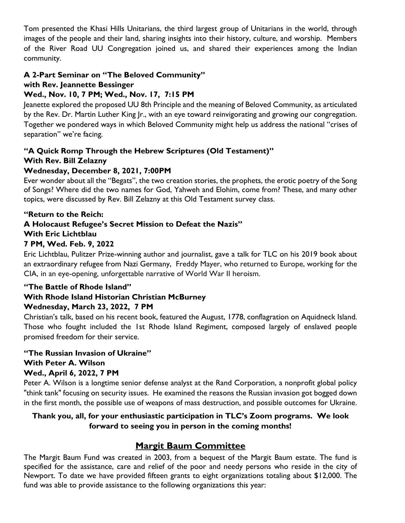Tom presented the Khasi Hills Unitarians, the third largest group of Unitarians in the world, through images of the people and their land, sharing insights into their history, culture, and worship. Members of the River Road UU Congregation joined us, and shared their experiences among the Indian community.

## **A 2-Part Seminar on "The Beloved Community"**

## **with Rev. Jeannette Bessinger**

## **Wed., Nov. 10, 7 PM; Wed., Nov. 17, 7:15 PM**

Jeanette explored the proposed UU 8th Principle and the meaning of Beloved Community, as articulated by the Rev. Dr. Martin Luther King Jr., with an eye toward reinvigorating and growing our congregation. Together we pondered ways in which Beloved Community might help us address the national "crises of separation" we're facing.

## **"A Quick Romp Through the Hebrew Scriptures (Old Testament)" With Rev. Bill Zelazny**

## **Wednesday, December 8, 2021, 7:00PM**

Ever wonder about all the "Begats", the two creation stories, the prophets, the erotic poetry of the Song of Songs? Where did the two names for God, Yahweh and Elohim, come from? These, and many other topics, were discussed by Rev. Bill Zelazny at this Old Testament survey class.

#### **"Return to the Reich: A Holocaust Refugee's Secret Mission to Defeat the Nazis" With Eric Lichtblau 7 PM, Wed. Feb. 9, 2022**

Eric Lichtblau, Pulitzer Prize-winning author and journalist, gave a talk for TLC on his 2019 book about an extraordinary refugee from Nazi Germany, Freddy Mayer, who returned to Europe, working for the CIA, in an eye-opening, unforgettable narrative of World War II heroism.

## **"The Battle of Rhode Island"**

## **With Rhode Island Historian Christian McBurney Wednesday, March 23, 2022, 7 PM**

Christian's talk, based on his recent book, featured the August, 1778, conflagration on Aquidneck Island. Those who fought included the 1st Rhode Island Regiment, composed largely of enslaved people promised freedom for their service.

#### **"The Russian Invasion of Ukraine" With Peter A. Wilson Wed., April 6, 2022, 7 PM**

Peter A. Wilson is a longtime senior defense analyst at the Rand Corporation, a nonprofit global policy "think tank" focusing on security issues. He examined the reasons the Russian invasion got bogged down in the first month, the possible use of weapons of mass destruction, and possible outcomes for Ukraine.

## **Thank you, all, for your enthusiastic participation in TLC's Zoom programs. We look forward to seeing you in person in the coming months!**

## **Margit Baum Committee**

The Margit Baum Fund was created in 2003, from a bequest of the Margit Baum estate. The fund is specified for the assistance, care and relief of the poor and needy persons who reside in the city of Newport. To date we have provided fifteen grants to eight organizations totaling about \$12,000. The fund was able to provide assistance to the following organizations this year: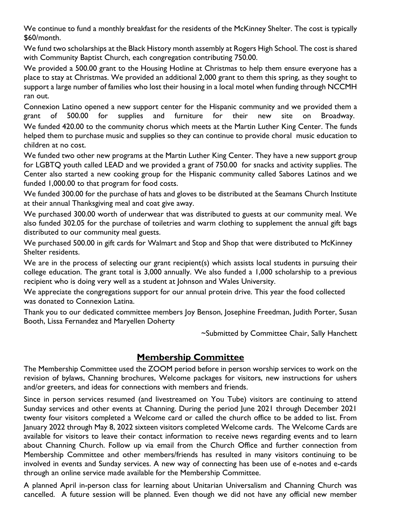We continue to fund a monthly breakfast for the residents of the McKinney Shelter. The cost is typically \$60/month.

We fund two scholarships at the Black History month assembly at Rogers High School. The cost is shared with Community Baptist Church, each congregation contributing 750.00.

We provided a 500.00 grant to the Housing Hotline at Christmas to help them ensure everyone has a place to stay at Christmas. We provided an additional 2,000 grant to them this spring, as they sought to support a large number of families who lost their housing in a local motel when funding through NCCMH ran out.

Connexion Latino opened a new support center for the Hispanic community and we provided them a grant of 500.00 for supplies and furniture for their new site on Broadway. We funded 420.00 to the community chorus which meets at the Martin Luther King Center. The funds helped them to purchase music and supplies so they can continue to provide choral music education to children at no cost.

We funded two other new programs at the Martin Luther King Center. They have a new support group for LGBTQ youth called LEAD and we provided a grant of 750.00 for snacks and activity supplies. The Center also started a new cooking group for the Hispanic community called Sabores Latinos and we funded 1,000.00 to that program for food costs.

We funded 300.00 for the purchase of hats and gloves to be distributed at the Seamans Church Institute at their annual Thanksgiving meal and coat give away.

We purchased 300.00 worth of underwear that was distributed to guests at our community meal. We also funded 302.05 for the purchase of toiletries and warm clothing to supplement the annual gift bags distributed to our community meal guests.

We purchased 500.00 in gift cards for Walmart and Stop and Shop that were distributed to McKinney Shelter residents.

We are in the process of selecting our grant recipient(s) which assists local students in pursuing their college education. The grant total is 3,000 annually. We also funded a 1,000 scholarship to a previous recipient who is doing very well as a student at Johnson and Wales University.

We appreciate the congregations support for our annual protein drive. This year the food collected was donated to Connexion Latina.

Thank you to our dedicated committee members Joy Benson, Josephine Freedman, Judith Porter, Susan Booth, Lissa Fernandez and Maryellen Doherty

~Submitted by Committee Chair, Sally Hanchett

## **Membership Committee**

The Membership Committee used the ZOOM period before in person worship services to work on the revision of bylaws, Channing brochures, Welcome packages for visitors, new instructions for ushers and/or greeters, and ideas for connections with members and friends.

Since in person services resumed (and livestreamed on You Tube) visitors are continuing to attend Sunday services and other events at Channing. During the period June 2021 through December 2021 twenty four visitors completed a Welcome card or called the church office to be added to list. From January 2022 through May 8, 2022 sixteen visitors completed Welcome cards. The Welcome Cards are available for visitors to leave their contact information to receive news regarding events and to learn about Channing Church. Follow up via email from the Church Office and further connection from Membership Committee and other members/friends has resulted in many visitors continuing to be involved in events and Sunday services. A new way of connecting has been use of e-notes and e-cards through an online service made available for the Membership Committee.

A planned April in-person class for learning about Unitarian Universalism and Channing Church was cancelled. A future session will be planned. Even though we did not have any official new member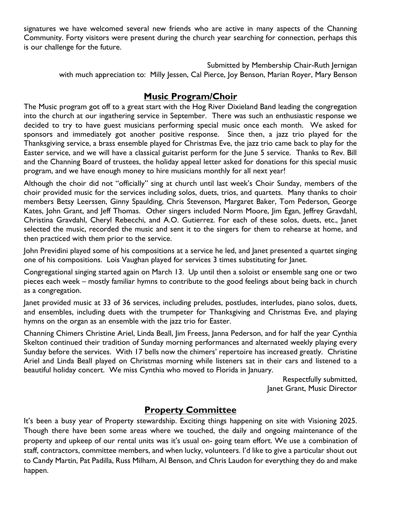signatures we have welcomed several new friends who are active in many aspects of the Channing Community. Forty visitors were present during the church year searching for connection, perhaps this is our challenge for the future.

> Submitted by Membership Chair-Ruth Jernigan with much appreciation to: Milly Jessen, Cal Pierce, Joy Benson, Marian Royer, Mary Benson

## **Music Program/Choir**

The Music program got off to a great start with the Hog River Dixieland Band leading the congregation into the church at our ingathering service in September. There was such an enthusiastic response we decided to try to have guest musicians performing special music once each month. We asked for sponsors and immediately got another positive response. Since then, a jazz trio played for the Thanksgiving service, a brass ensemble played for Christmas Eve, the jazz trio came back to play for the Easter service, and we will have a classical guitarist perform for the June 5 service. Thanks to Rev. Bill and the Channing Board of trustees, the holiday appeal letter asked for donations for this special music program, and we have enough money to hire musicians monthly for all next year!

Although the choir did not "officially" sing at church until last week's Choir Sunday, members of the choir provided music for the services including solos, duets, trios, and quartets. Many thanks to choir members Betsy Leerssen, Ginny Spaulding, Chris Stevenson, Margaret Baker, Tom Pederson, George Kates, John Grant, and Jeff Thomas. Other singers included Norm Moore, Jim Egan, Jeffrey Gravdahl, Christina Gravdahl, Cheryl Rebecchi, and A.O. Gutierrez. For each of these solos, duets, etc., Janet selected the music, recorded the music and sent it to the singers for them to rehearse at home, and then practiced with them prior to the service.

John Previdini played some of his compositions at a service he led, and Janet presented a quartet singing one of his compositions. Lois Vaughan played for services 3 times substituting for Janet.

Congregational singing started again on March 13. Up until then a soloist or ensemble sang one or two pieces each week – mostly familiar hymns to contribute to the good feelings about being back in church as a congregation.

Janet provided music at 33 of 36 services, including preludes, postludes, interludes, piano solos, duets, and ensembles, including duets with the trumpeter for Thanksgiving and Christmas Eve, and playing hymns on the organ as an ensemble with the jazz trio for Easter.

Channing Chimers Christine Ariel, Linda Beall, Jim Freess, Janna Pederson, and for half the year Cynthia Skelton continued their tradition of Sunday morning performances and alternated weekly playing every Sunday before the services. With 17 bells now the chimers' repertoire has increased greatly. Christine Ariel and Linda Beall played on Christmas morning while listeners sat in their cars and listened to a beautiful holiday concert. We miss Cynthia who moved to Florida in January.

> Respectfully submitted, Janet Grant, Music Director

## **Property Committee**

It's been a busy year of Property stewardship. Exciting things happening on site with Visioning 2025. Though there have been some areas where we touched, the daily and ongoing maintenance of the property and upkeep of our rental units was it's usual on- going team effort. We use a combination of staff, contractors, committee members, and when lucky, volunteers. I'd like to give a particular shout out to Candy Martin, Pat Padilla, Russ Milham, Al Benson, and Chris Laudon for everything they do and make happen.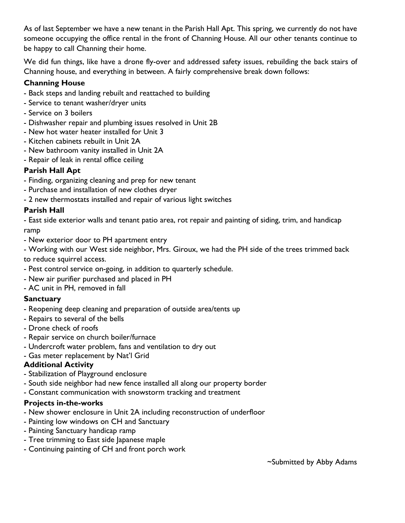As of last September we have a new tenant in the Parish Hall Apt. This spring, we currently do not have someone occupying the office rental in the front of Channing House. All our other tenants continue to be happy to call Channing their home.

We did fun things, like have a drone fly-over and addressed safety issues, rebuilding the back stairs of Channing house, and everything in between. A fairly comprehensive break down follows:

## **Channing House**

- Back steps and landing rebuilt and reattached to building
- Service to tenant washer/dryer units
- Service on 3 boilers
- Dishwasher repair and plumbing issues resolved in Unit 2B
- New hot water heater installed for Unit 3
- Kitchen cabinets rebuilt in Unit 2A
- New bathroom vanity installed in Unit 2A
- Repair of leak in rental office ceiling

## **Parish Hall Apt**

- Finding, organizing cleaning and prep for new tenant
- Purchase and installation of new clothes dryer
- 2 new thermostats installed and repair of various light switches

## **Parish Hall**

- East side exterior walls and tenant patio area, rot repair and painting of siding, trim, and handicap ramp

- New exterior door to PH apartment entry

- Working with our West side neighbor, Mrs. Giroux, we had the PH side of the trees trimmed back

to reduce squirrel access.

- Pest control service on-going, in addition to quarterly schedule.
- New air purifier purchased and placed in PH
- AC unit in PH, removed in fall

## **Sanctuary**

- Reopening deep cleaning and preparation of outside area/tents up
- Repairs to several of the bells
- Drone check of roofs
- Repair service on church boiler/furnace
- Undercroft water problem, fans and ventilation to dry out
- Gas meter replacement by Nat'l Grid

## **Additional Activity**

- Stabilization of Playground enclosure
- South side neighbor had new fence installed all along our property border
- Constant communication with snowstorm tracking and treatment

## **Projects in-the-works**

- New shower enclosure in Unit 2A including reconstruction of underfloor
- Painting low windows on CH and Sanctuary
- Painting Sanctuary handicap ramp
- Tree trimming to East side Japanese maple
- Continuing painting of CH and front porch work

~Submitted by Abby Adams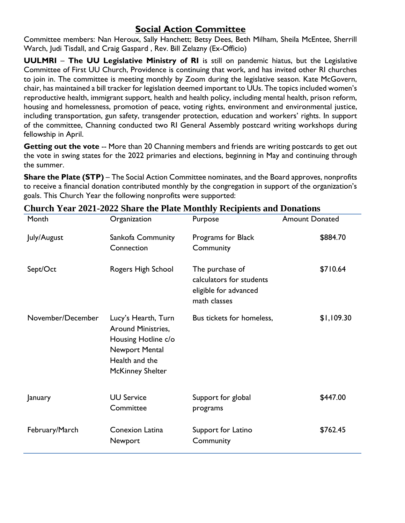## **Social Action Committee**

Committee members: Nan Heroux, Sally Hanchett; Betsy Dees, Beth Milham, Sheila McEntee, Sherrill Warch, Judi Tisdall, and Craig Gaspard , Rev. Bill Zelazny (Ex-Officio)

**UULMRI** – **The UU Legislative Ministry of RI** is still on pandemic hiatus, but the Legislative Committee of First UU Church, Providence is continuing that work, and has invited other RI churches to join in. The committee is meeting monthly by Zoom during the legislative season. Kate McGovern, chair, has maintained a bill tracker for legislation deemed important to UUs. The topics included women's reproductive health, immigrant support, health and health policy, including mental health, prison reform, housing and homelessness, promotion of peace, voting rights, environment and environmental justice, including transportation, gun safety, transgender protection, education and workers' rights. In support of the committee, Channing conducted two RI General Assembly postcard writing workshops during fellowship in April.

**Getting out the vote** -- More than 20 Channing members and friends are writing postcards to get out the vote in swing states for the 2022 primaries and elections, beginning in May and continuing through the summer.

**Share the Plate (STP)** – The Social Action Committee nominates, and the Board approves, nonprofits to receive a financial donation contributed monthly by the congregation in support of the organization's goals. This Church Year the following nonprofits were supported:

| Month             | Organization                                                                                                                    | Purpose                                                                              | <b>Amount Donated</b> |
|-------------------|---------------------------------------------------------------------------------------------------------------------------------|--------------------------------------------------------------------------------------|-----------------------|
| July/August       | Sankofa Community<br>Connection                                                                                                 | Programs for Black<br>Community                                                      | \$884.70              |
| Sept/Oct          | Rogers High School                                                                                                              | The purchase of<br>calculators for students<br>eligible for advanced<br>math classes | \$710.64              |
| November/December | Lucy's Hearth, Turn<br>Around Ministries,<br>Housing Hotline c/o<br>Newport Mental<br>Health and the<br><b>McKinney Shelter</b> | Bus tickets for homeless,                                                            | \$1,109.30            |
| January           | <b>UU Service</b><br>Committee                                                                                                  | Support for global<br>programs                                                       | \$447.00              |
| February/March    | Conexion Latina<br><b>Newport</b>                                                                                               | Support for Latino<br>Community                                                      | \$762.45              |

## **Church Year 2021-2022 Share the Plate Monthly Recipients and Donations**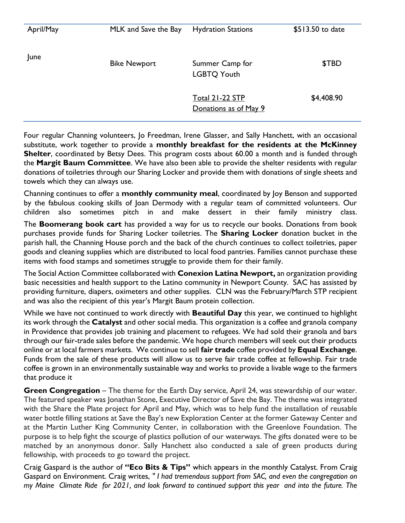| April/May | MLK and Save the Bay | <b>Hydration Stations</b>                | \$513.50 to date |
|-----------|----------------------|------------------------------------------|------------------|
| June      | <b>Bike Newport</b>  | Summer Camp for<br><b>LGBTQ Youth</b>    | \$TBD            |
|           |                      | Total 21-22 STP<br>Donations as of May 9 | \$4,408.90       |

Four regular Channing volunteers, Jo Freedman, Irene Glasser, and Sally Hanchett, with an occasional substitute, work together to provide a **monthly breakfast for the residents at the McKinney Shelter**, coordinated by Betsy Dees. This program costs about 60.00 a month and is funded through the **Margit Baum Committee**. We have also been able to provide the shelter residents with regular donations of toiletries through our Sharing Locker and provide them with donations of single sheets and towels which they can always use.

Channing continues to offer a **monthly community meal**, coordinated by Joy Benson and supported by the fabulous cooking skills of Joan Dermody with a regular team of committed volunteers. Our children also sometimes pitch in and make dessert in their family ministry class.

The **Boomerang book cart** has provided a way for us to recycle our books. Donations from book purchases provide funds for Sharing Locker toiletries. The **Sharing Locker** donation bucket in the parish hall, the Channing House porch and the back of the church continues to collect toiletries, paper goods and cleaning supplies which are distributed to local food pantries. Families cannot purchase these items with food stamps and sometimes struggle to provide them for their family.

The Social Action Committee collaborated with **Conexion Latina Newport,** an organization providing basic necessities and health support to the Latino community in Newport County. SAC has assisted by providing furniture, diapers, oximeters and other supplies. CLN was the February/March STP recipient and was also the recipient of this year's Margit Baum protein collection.

While we have not continued to work directly with **Beautiful Day** this year, we continued to highlight its work through the **Catalyst** and other social media. This organization is a coffee and granola company in Providence that provides job training and placement to refugees. We had sold their granola and bars through our fair-trade sales before the pandemic. We hope church members will seek out their products online or at local farmers markets. We continue to sell **fair trade** coffee provided by **Equal Exchange**. Funds from the sale of these products will allow us to serve fair trade coffee at fellowship. Fair trade coffee is grown in an environmentally sustainable way and works to provide a livable wage to the farmers that produce it

**Green Congregation** – The theme for the Earth Day service, April 24, was stewardship of our water. The featured speaker was Jonathan Stone, Executive Director of Save the Bay. The theme was integrated with the Share the Plate project for April and May, which was to help fund the installation of reusable water bottle filling stations at Save the Bay's new Exploration Center at the former Gateway Center and at the Martin Luther King Community Center, in collaboration with the Greenlove Foundation. The purpose is to help fight the scourge of plastics pollution of our waterways. The gifts donated were to be matched by an anonymous donor. Sally Hanchett also conducted a sale of green products during fellowship, with proceeds to go toward the project.

Craig Gaspard is the author of **"Eco Bits & Tips"** which appears in the monthly Catalyst. From Craig Gaspard on Environment. Craig writes, *" I had tremendous support from SAC, and even the congregation on my Maine Climate Ride for 2021, and look forward to continued support this year and into the future. The*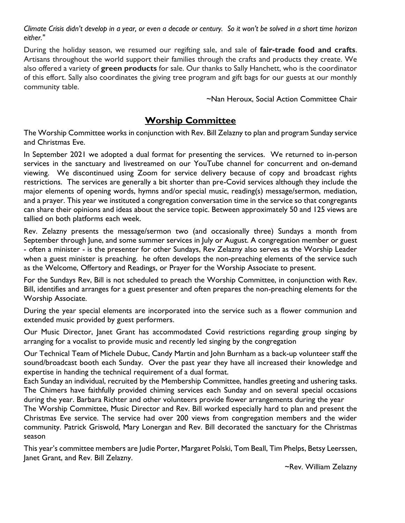*Climate Crisis didn't develop in a year, or even a decade or century. So it won't be solved in a short time horizon either."*

During the holiday season, we resumed our regifting sale, and sale of **fair-trade food and crafts**. Artisans throughout the world support their families through the crafts and products they create. We also offered a variety of **green products** for sale. Our thanks to Sally Hanchett, who is the coordinator of this effort. Sally also coordinates the giving tree program and gift bags for our guests at our monthly community table.

~Nan Heroux, Social Action Committee Chair

## **Worship Committee**

The Worship Committee works in conjunction with Rev. Bill Zelazny to plan and program Sunday service and Christmas Eve.

In September 2021 we adopted a dual format for presenting the services. We returned to in-person services in the sanctuary and livestreamed on our YouTube channel for concurrent and on-demand viewing. We discontinued using Zoom for service delivery because of copy and broadcast rights restrictions. The services are generally a bit shorter than pre-Covid services although they include the major elements of opening words, hymns and/or special music, reading(s) message/sermon, mediation, and a prayer. This year we instituted a congregation conversation time in the service so that congregants can share their opinions and ideas about the service topic. Between approximately 50 and 125 views are tallied on both platforms each week.

Rev. Zelazny presents the message/sermon two (and occasionally three) Sundays a month from September through June, and some summer services in July or August. A congregation member or guest - often a minister - is the presenter for other Sundays, Rev Zelazny also serves as the Worship Leader when a guest minister is preaching. he often develops the non-preaching elements of the service such as the Welcome, Offertory and Readings, or Prayer for the Worship Associate to present.

For the Sundays Rev, Bill is not scheduled to preach the Worship Committee, in conjunction with Rev. Bill, identifies and arranges for a guest presenter and often prepares the non-preaching elements for the Worship Associate.

During the year special elements are incorporated into the service such as a flower communion and extended music provided by guest performers.

Our Music Director, Janet Grant has accommodated Covid restrictions regarding group singing by arranging for a vocalist to provide music and recently led singing by the congregation

Our Technical Team of Michele Dubuc, Candy Martin and John Burnham as a back-up volunteer staff the sound/broadcast booth each Sunday. Over the past year they have all increased their knowledge and expertise in handing the technical requirement of a dual format.

Each Sunday an individual, recruited by the Membership Committee, handles greeting and ushering tasks. The Chimers have faithfully provided chiming services each Sunday and on several special occasions during the year. Barbara Richter and other volunteers provide flower arrangements during the year

The Worship Committee, Music Director and Rev. Bill worked especially hard to plan and present the Christmas Eve service. The service had over 200 views from congregation members and the wider community. Patrick Griswold, Mary Lonergan and Rev. Bill decorated the sanctuary for the Christmas season

This year's committee members are Judie Porter, Margaret Polski, Tom Beall, Tim Phelps, Betsy Leerssen, Janet Grant, and Rev. Bill Zelazny.

~Rev. William Zelazny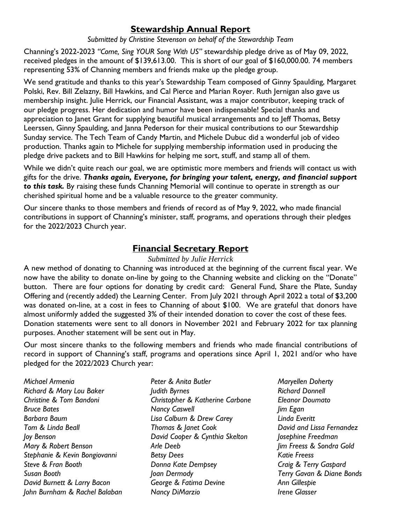## **Stewardship Annual Report**

#### *Submitted by Christine Stevenson on behalf of the Stewardship Team*

Channing's 2022-2023 *"Come, Sing YOUR Song With US"* stewardship pledge drive as of May 09, 2022, received pledges in the amount of \$139,613.00. This is short of our goal of \$160,000.00. 74 members representing 53% of Channing members and friends make up the pledge group.

We send gratitude and thanks to this year's Stewardship Team composed of Ginny Spaulding, Margaret Polski, Rev. Bill Zelazny, Bill Hawkins, and Cal Pierce and Marian Royer. Ruth Jernigan also gave us membership insight. Julie Herrick, our Financial Assistant, was a major contributor, keeping track of our pledge progress. Her dedication and humor have been indispensable! Special thanks and appreciation to Janet Grant for supplying beautiful musical arrangements and to Jeff Thomas, Betsy Leerssen, Ginny Spaulding, and Janna Pederson for their musical contributions to our Stewardship Sunday service. The Tech Team of Candy Martin, and Michele Dubuc did a wonderful job of video production. Thanks again to Michele for supplying membership information used in producing the pledge drive packets and to Bill Hawkins for helping me sort, stuff, and stamp all of them.

While we didn't quite reach our goal, we are optimistic more members and friends will contact us with gifts for the drive. *Thanks again, Everyone, for bringing your talent, energy, and financial support to this task.* By raising these funds Channing Memorial will continue to operate in strength as our cherished spiritual home and be a valuable resource to the greater community.

Our sincere thanks to those members and friends of record as of May 9, 2022, who made financial contributions in support of Channing's minister, staff, programs, and operations through their pledges for the 2022/2023 Church year.

## **Financial Secretary Report**

#### *Submitted by Julie Herrick*

A new method of donating to Channing was introduced at the beginning of the current fiscal year. We now have the ability to donate on-line by going to the Channing website and clicking on the "Donate" button. There are four options for donating by credit card: General Fund, Share the Plate, Sunday Offering and (recently added) the Learning Center. From July 2021 through April 2022 a total of \$3,200 was donated on-line, at a cost in fees to Channing of about \$100. We are grateful that donors have almost uniformly added the suggested 3% of their intended donation to cover the cost of these fees. Donation statements were sent to all donors in November 2021 and February 2022 for tax planning purposes. Another statement will be sent out in May.

Our most sincere thanks to the following members and friends who made financial contributions of record in support of Channing's staff, programs and operations since April 1, 2021 and/or who have pledged for the 2022/2023 Church year:

*Michael Armenia Richard & Mary Lou Baker Christine & Tom Bandoni Bruce Bates Barbara Baum Tom & Linda Beall Joy Benson Mary & Robert Benson Stephanie & Kevin Bongiovanni Steve & Fran Booth Susan Booth David Burnett & Larry Bacon John Burnham & Rachel Balaban* *Peter & Anita Butler Judith Byrnes Christopher & Katherine Carbone Nancy Caswell Lisa Colburn & Drew Carey Thomas & Janet Cook David Cooper & Cynthia Skelton Arle Deeb Betsy Dees Donna Kate Dempsey Joan Dermody George & Fatima Devine Nancy DiMarzio*

*Maryellen Doherty Richard Donnell Eleanor Doumato Jim Egan Linda Everitt David and Lissa Fernandez Josephine Freedman Jim Freess & Sondra Gold Katie Freess Craig & Terry Gaspard Terry Gavan & Diane Bonds Ann Gillespie Irene Glasser*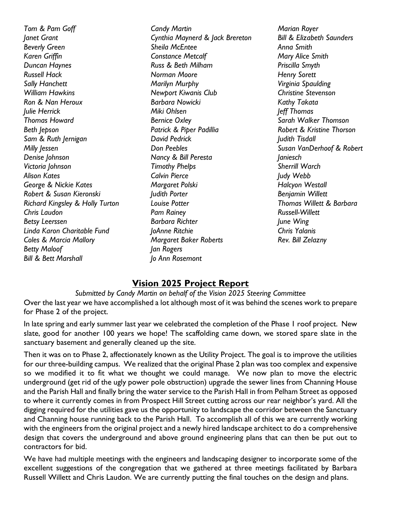*Tom & Pam Goff Janet Grant Beverly Green Karen Griffin Duncan Haynes Russell Hack Sally Hanchett William Hawkins Ron & Nan Heroux Julie Herrick Thomas Howard Beth Jepson Sam & Ruth Jernigan Milly Jessen Denise Johnson Victoria Johnson Alison Kates George & Nickie Kates Robert & Susan Kieronski Richard Kingsley & Holly Turton Chris Laudon Betsy Leerssen Linda Karon Charitable Fund Coles & Marcia Mallory Betty Maloof Bill & Bett Marshall*

*Candy Martin Cynthia Maynerd & Jack Brereton Sheila McEntee Constance Metcalf Russ & Beth Milham Norman Moore Marilyn Murphy Newport Kiwanis Club Barbara Nowicki Miki Ohlsen Bernice Oxley Patrick & Piper Padillia David Pedrick Don Peebles Nancy & Bill Peresta Timothy Phelps Calvin Pierce Margaret Polski Judith Porter Louise Potter Pam Rainey Barbara Richter JoAnne Ritchie Margaret Baker Roberts Jan Rogers Jo Ann Rosemont*

*Marian Royer Bill & Elizabeth Saunders Anna Smith Mary Alice Smith Priscilla Smyth Henry Sorett Virginia Spaulding Christine Stevenson Kathy Takata Jeff Thomas Sarah Walker Thomson Robert & Kristine Thorson Judith Tisdall Susan VanDerhoof & Robert Janiesch Sherrill Warch Judy Webb Halcyon Westall Benjamin Willett Thomas Willett & Barbara Russell-Willett June Wing Chris Yalanis Rev. Bill Zelazny*

## **Vision 2025 Project Report**

*Submitted by Candy Martin on behalf of the Vision 2025 Steering Committee* Over the last year we have accomplished a lot although most of it was behind the scenes work to prepare for Phase 2 of the project.

In late spring and early summer last year we celebrated the completion of the Phase 1 roof project. New slate, good for another 100 years we hope! The scaffolding came down, we stored spare slate in the sanctuary basement and generally cleaned up the site.

Then it was on to Phase 2, affectionately known as the Utility Project. The goal is to improve the utilities for our three-building campus. We realized that the original Phase 2 plan was too complex and expensive so we modified it to fit what we thought we could manage. We now plan to move the electric underground (get rid of the ugly power pole obstruction) upgrade the sewer lines from Channing House and the Parish Hall and finally bring the water service to the Parish Hall in from Pelham Street as opposed to where it currently comes in from Prospect Hill Street cutting across our rear neighbor's yard. All the digging required for the utilities gave us the opportunity to landscape the corridor between the Sanctuary and Channing house running back to the Parish Hall. To accomplish all of this we are currently working with the engineers from the original project and a newly hired landscape architect to do a comprehensive design that covers the underground and above ground engineering plans that can then be put out to contractors for bid.

We have had multiple meetings with the engineers and landscaping designer to incorporate some of the excellent suggestions of the congregation that we gathered at three meetings facilitated by Barbara Russell Willett and Chris Laudon. We are currently putting the final touches on the design and plans.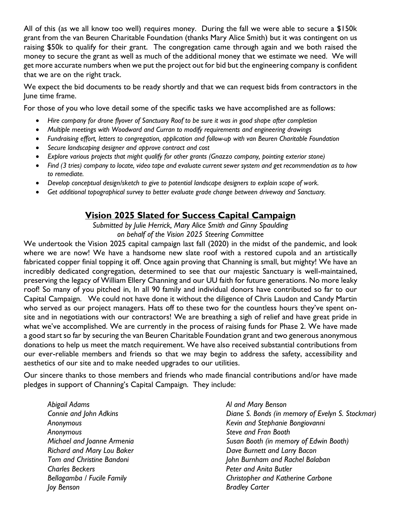All of this (as we all know too well) requires money. During the fall we were able to secure a \$150k grant from the van Beuren Charitable Foundation (thanks Mary Alice Smith) but it was contingent on us raising \$50k to qualify for their grant. The congregation came through again and we both raised the money to secure the grant as well as much of the additional money that we estimate we need. We will get more accurate numbers when we put the project out for bid but the engineering company is confident that we are on the right track.

We expect the bid documents to be ready shortly and that we can request bids from contractors in the June time frame.

For those of you who love detail some of the specific tasks we have accomplished are as follows:

- *Hire company for drone flyover of Sanctuary Roof to be sure it was in good shape after completion*
- *Multiple meetings with Woodward and Curran to modify requirements and engineering drawings*
- *Fundraising effort, letters to congregation, application and follow-up with van Beuren Charitable Foundation*
- *Secure landscaping designer and approve contract and cost*
- *Explore various projects that might qualify for other grants (Gnazzo company, pointing exterior stone)*
- *Find (3 tries) company to locate, video tape and evaluate current sewer system and get recommendation as to how to remediate.*
- *Develop conceptual design/sketch to give to potential landscape designers to explain scope of work.*
- *Get additional topographical survey to better evaluate grade change between driveway and Sanctuary.*

## **Vision 2025 Slated for Success Capital Campaign**

*Submitted by Julie Herrick, Mary Alice Smith and Ginny Spaulding on behalf of the Vision 2025 Steering Committee*

We undertook the Vision 2025 capital campaign last fall (2020) in the midst of the pandemic, and look where we are now! We have a handsome new slate roof with a restored cupola and an artistically fabricated copper finial topping it off. Once again proving that Channing is small, but mighty! We have an incredibly dedicated congregation, determined to see that our majestic Sanctuary is well-maintained, preserving the legacy of William Ellery Channing and our UU faith for future generations. No more leaky roof! So many of you pitched in, In all 90 family and individual donors have contributed so far to our Capital Campaign. We could not have done it without the diligence of Chris Laudon and Candy Martin who served as our project managers. Hats off to these two for the countless hours they've spent onsite and in negotiations with our contractors! We are breathing a sigh of relief and have great pride in what we've accomplished. We are currently in the process of raising funds for Phase 2. We have made a good start so far by securing the van Beuren Charitable Foundation grant and two generous anonymous donations to help us meet the match requirement. We have also received substantial contributions from our ever-reliable members and friends so that we may begin to address the safety, accessibility and aesthetics of our site and to make needed upgrades to our utilities.

Our sincere thanks to those members and friends who made financial contributions and/or have made pledges in support of Channing's Capital Campaign. They include:

*Abigail Adams Connie and John Adkins Anonymous Anonymous Michael and Joanne Armenia Richard and Mary Lou Baker Tom and Christine Bandoni Charles Beckers Bellagamba / Fucile Family Joy Benson*

*Al and Mary Benson Diane S. Bonds (in memory of Evelyn S. Stockmar) Kevin and Stephanie Bongiovanni Steve and Fran Booth Susan Booth (in memory of Edwin Booth) Dave Burnett and Larry Bacon John Burnham and Rachel Balaban Peter and Anita Butler Christopher and Katherine Carbone Bradley Carter*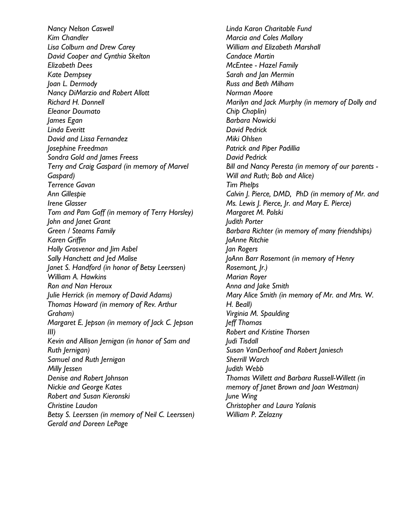*Nancy Nelson Caswell Kim Chandler Lisa Colburn and Drew Carey David Cooper and Cynthia Skelton Elizabeth Dees Kate Dempsey Joan L. Dermody Nancy DiMarzio and Robert Allott Richard H. Donnell Eleanor Doumato James Egan Linda Everitt David and Lissa Fernandez Josephine Freedman Sondra Gold and James Freess Terry and Craig Gaspard (in memory of Marvel Gaspard) Terrence Gavan Ann Gillespie Irene Glasser Tom and Pam Goff (in memory of Terry Horsley) John and Janet Grant Green / Stearns Family Karen Griffin Holly Grosvenor and Jim Asbel Sally Hanchett and Jed Malise Janet S. Handford (in honor of Betsy Leerssen) William A. Hawkins Ron and Nan Heroux Julie Herrick (in memory of David Adams) Thomas Howard (in memory of Rev. Arthur Graham) Margaret E. Jepson (in memory of Jack C. Jepson III) Kevin and Allison Jernigan (in honor of Sam and Ruth Jernigan) Samuel and Ruth Jernigan Milly Jessen Denise and Robert Johnson Nickie and George Kates Robert and Susan Kieronski Christine Laudon Betsy S. Leerssen (in memory of Neil C. Leerssen) Gerald and Doreen LePage*

*Linda Karon Charitable Fund Marcia and Coles Mallory William and Elizabeth Marshall Candace Martin McEntee - Hazel Family Sarah and Jan Mermin Russ and Beth Milham Norman Moore Marilyn and Jack Murphy (in memory of Dolly and Chip Chaplin) Barbara Nowicki David Pedrick Miki Ohlsen Patrick and Piper Padillia David Pedrick Bill and Nancy Peresta (in memory of our parents - Will and Ruth; Bob and Alice) Tim Phelps Calvin J. Pierce, DMD, PhD (in memory of Mr. and Ms. Lewis J. Pierce, Jr. and Mary E. Pierce) Margaret M. Polski Judith Porter Barbara Richter (in memory of many friendships) JoAnne Ritchie Jan Rogers JoAnn Barr Rosemont (in memory of Henry Rosemont, Jr.) Marian Royer Anna and Jake Smith Mary Alice Smith (in memory of Mr. and Mrs. W. H. Beall) Virginia M. Spaulding Jeff Thomas Robert and Kristine Thorsen Judi Tisdall Susan VanDerhoof and Robert Janiesch Sherrill Warch Judith Webb Thomas Willett and Barbara Russell-Willett (in memory of Janet Brown and Joan Westman) June Wing Christopher and Laura Yalanis William P. Zelazny*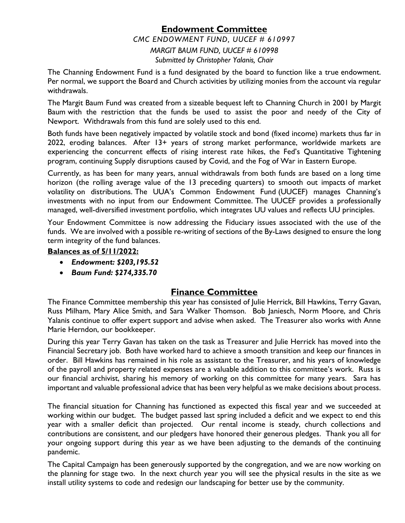# **Endowment Committee** *CMC ENDOWMENT FUND, UUCEF # 610997*

*MARGIT BAUM FUND, UUCEF # 610998 Submitted by Christopher Yalanis, Chair*

The Channing Endowment Fund is a fund designated by the board to function like a true endowment. Per normal, we support the Board and Church activities by utilizing monies from the account via regular withdrawals.

The Margit Baum Fund was created from a sizeable bequest left to Channing Church in 2001 by Margit Baum with the restriction that the funds be used to assist the poor and needy of the City of Newport. Withdrawals from this fund are solely used to this end.

Both funds have been negatively impacted by volatile stock and bond (fixed income) markets thus far in 2022, eroding balances. After 13+ years of strong market performance, worldwide markets are experiencing the concurrent effects of rising interest rate hikes, the Fed's Quantitative Tightening program, continuing Supply disruptions caused by Covid, and the Fog of War in Eastern Europe.

Currently, as has been for many years, annual withdrawals from both funds are based on a long time horizon (the rolling average value of the 13 preceding quarters) to smooth out impacts of market volatility on distributions. The UUA's Common Endowment Fund (UUCEF) manages Channing's investments with no input from our Endowment Committee. The UUCEF provides a professionally managed, well-diversified investment portfolio, which integrates UU values and reflects UU principles.

Your Endowment Committee is now addressing the Fiduciary issues associated with the use of the funds. We are involved with a possible re-writing of sections of the By-Laws designed to ensure the long term integrity of the fund balances.

#### **Balances as of 5/11/2022:**

- *Endowment: \$203,195.52*
- *Baum Fund: \$274,335.70*

## **Finance Committee**

The Finance Committee membership this year has consisted of Julie Herrick, Bill Hawkins, Terry Gavan, Russ Milham, Mary Alice Smith, and Sara Walker Thomson. Bob Janiesch, Norm Moore, and Chris Yalanis continue to offer expert support and advise when asked. The Treasurer also works with Anne Marie Herndon, our bookkeeper.

During this year Terry Gavan has taken on the task as Treasurer and Julie Herrick has moved into the Financial Secretary job. Both have worked hard to achieve a smooth transition and keep our finances in order. Bill Hawkins has remained in his role as assistant to the Treasurer, and his years of knowledge of the payroll and property related expenses are a valuable addition to this committee's work. Russ is our financial archivist, sharing his memory of working on this committee for many years. Sara has important and valuable professional advice that has been very helpful as we make decisions about process.

The financial situation for Channing has functioned as expected this fiscal year and we succeeded at working within our budget. The budget passed last spring included a deficit and we expect to end this year with a smaller deficit than projected. Our rental income is steady, church collections and contributions are consistent, and our pledgers have honored their generous pledges. Thank you all for your ongoing support during this year as we have been adjusting to the demands of the continuing pandemic.

The Capital Campaign has been generously supported by the congregation, and we are now working on the planning for stage two. In the next church year you will see the physical results in the site as we install utility systems to code and redesign our landscaping for better use by the community.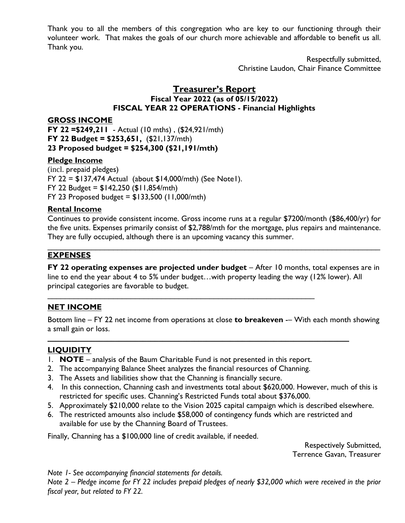Thank you to all the members of this congregation who are key to our functioning through their volunteer work. That makes the goals of our church more achievable and affordable to benefit us all. Thank you.

> Respectfully submitted, Christine Laudon, Chair Finance Committee

#### **Treasurer's Report Fiscal Year 2022 (as of 05/15/2022) FISCAL YEAR 22 OPERATIONS - Financial Highlights**

#### **GROSS INCOME**

**FY 22 =\$249,211** - Actual (10 mths) , (\$24,921/mth) **FY 22 Budget = \$253,651,** (\$21,137/mth) **23 Proposed budget = \$254,300 (\$21,191/mth)**

#### **Pledge Income**

(incl. prepaid pledges) FY 22 = \$137,474 Actual (about \$14,000/mth) (See Note1). FY 22 Budget = \$142,250 (\$11,854/mth) FY 23 Proposed budget =  $$133,500$  (11,000/mth)

#### **Rental Income**

Continues to provide consistent income. Gross income runs at a regular \$7200/month (\$86,400/yr) for the five units. Expenses primarily consist of \$2,788/mth for the mortgage, plus repairs and maintenance. They are fully occupied, although there is an upcoming vacancy this summer.

\_\_\_\_\_\_\_\_\_\_\_\_\_\_\_\_\_\_\_\_\_\_\_\_\_\_\_\_\_\_\_\_\_\_\_\_\_\_\_\_\_\_\_\_\_\_\_\_\_\_\_\_\_\_\_\_\_\_\_\_\_\_\_\_\_\_\_\_\_\_\_\_\_\_\_\_

#### **EXPENSES**

**FY 22 operating expenses are projected under budget** – After 10 months, total expenses are in line to end the year about 4 to 5% under budget…with property leading the way (12% lower). All principal categories are favorable to budget.

## **NET INCOME**

Bottom line – FY 22 net income from operations at close **to breakeven** -– With each month showing a small gain or loss.

#### **LIQUIDITY**

1. **NOTE** – analysis of the Baum Charitable Fund is not presented in this report.

\_\_\_\_\_\_\_\_\_\_\_\_\_\_\_\_\_\_\_\_\_\_\_\_\_\_\_\_\_\_\_\_\_\_\_\_\_\_\_\_\_\_\_\_\_\_\_\_\_\_\_\_\_\_\_\_\_\_\_\_\_

- 2. The accompanying Balance Sheet analyzes the financial resources of Channing.
- 3. The Assets and liabilities show that the Channing is financially secure.
- 4. In this connection, Channing cash and investments total about \$620,000. However, much of this is restricted for specific uses. Channing's Restricted Funds total about \$376,000.
- 5. Approximately \$210,000 relate to the Vision 2025 capital campaign which is described elsewhere.
- 6. The restricted amounts also include \$58,000 of contingency funds which are restricted and available for use by the Channing Board of Trustees.

**\_\_\_\_\_\_\_\_\_\_\_\_\_\_\_\_\_\_\_\_\_\_\_\_\_\_\_\_\_\_\_\_\_\_\_\_\_\_\_\_\_\_\_\_\_\_\_\_\_\_\_\_\_\_\_\_\_\_\_\_\_\_\_\_\_\_\_\_\_\_\_\_\_\_\_\_**

Finally, Channing has a \$100,000 line of credit available, if needed.

Respectively Submitted, Terrence Gavan, Treasurer

*Note 1- See accompanying financial statements for details.* 

*Note 2 – Pledge income for FY 22 includes prepaid pledges of nearly \$32,000 which were received in the prior fiscal year, but related to FY 22.*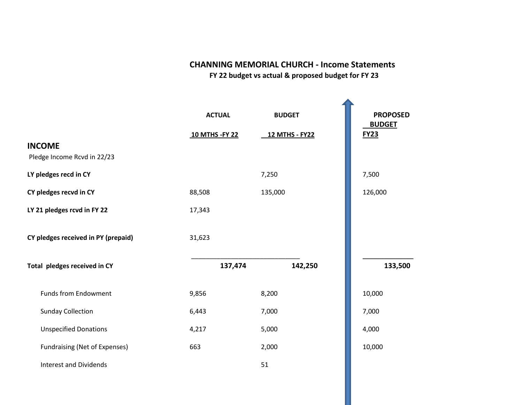## **CHANNING MEMORIAL CHURCH - Income Statements**

 **FY 22 budget vs actual & proposed budget for FY 23** 

|                                              | <b>ACTUAL</b>   | <b>BUDGET</b>         | <b>PROPOSED</b><br><b>BUDGET</b> |
|----------------------------------------------|-----------------|-----------------------|----------------------------------|
| <b>INCOME</b><br>Pledge Income Rcvd in 22/23 | 10 MTHS - FY 22 | <b>12 MTHS - FY22</b> | <b>FY23</b>                      |
| LY pledges recd in CY                        |                 | 7,250                 | 7,500                            |
| CY pledges recvd in CY                       | 88,508          | 135,000               | 126,000                          |
| LY 21 pledges rcvd in FY 22                  | 17,343          |                       |                                  |
| CY pledges received in PY (prepaid)          | 31,623          |                       |                                  |
| Total pledges received in CY                 | 137,474         | 142,250               | 133,500                          |
| <b>Funds from Endowment</b>                  | 9,856           | 8,200                 | 10,000                           |
| <b>Sunday Collection</b>                     | 6,443           | 7,000                 | 7,000                            |
| <b>Unspecified Donations</b>                 | 4,217           | 5,000                 | 4,000                            |
| Fundraising (Net of Expenses)                | 663             | 2,000                 | 10,000                           |
| <b>Interest and Dividends</b>                |                 | 51                    |                                  |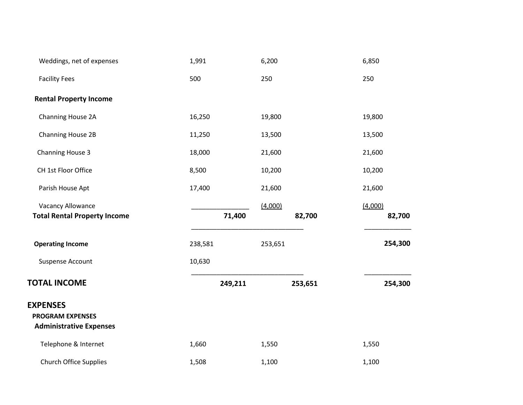| Weddings, net of expenses                                                    | 1,991   | 6,200             | 6,850             |
|------------------------------------------------------------------------------|---------|-------------------|-------------------|
| <b>Facility Fees</b>                                                         | 500     | 250               | 250               |
| <b>Rental Property Income</b>                                                |         |                   |                   |
| Channing House 2A                                                            | 16,250  | 19,800            | 19,800            |
| Channing House 2B                                                            | 11,250  | 13,500            | 13,500            |
| Channing House 3                                                             | 18,000  | 21,600            | 21,600            |
| CH 1st Floor Office                                                          | 8,500   | 10,200            | 10,200            |
| Parish House Apt                                                             | 17,400  | 21,600            | 21,600            |
| Vacancy Allowance<br><b>Total Rental Property Income</b>                     | 71,400  | (4,000)<br>82,700 | (4,000)<br>82,700 |
| <b>Operating Income</b>                                                      | 238,581 | 253,651           | 254,300           |
| <b>Suspense Account</b>                                                      | 10,630  |                   |                   |
| <b>TOTAL INCOME</b>                                                          | 249,211 | 253,651           | 254,300           |
| <b>EXPENSES</b><br><b>PROGRAM EXPENSES</b><br><b>Administrative Expenses</b> |         |                   |                   |
| Telephone & Internet                                                         | 1,660   | 1,550             | 1,550             |
| <b>Church Office Supplies</b>                                                | 1,508   | 1,100             | 1,100             |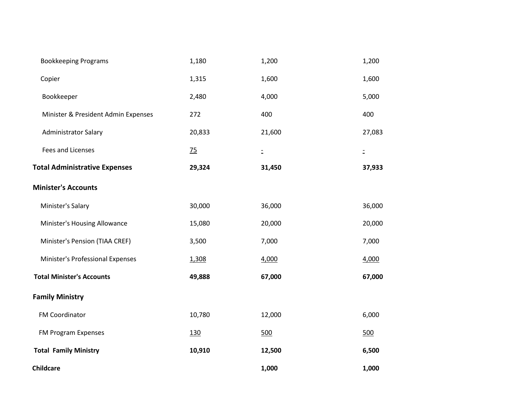| <b>Bookkeeping Programs</b>          | 1,180  | 1,200        | 1,200    |
|--------------------------------------|--------|--------------|----------|
| Copier                               | 1,315  | 1,600        | 1,600    |
| Bookkeeper                           | 2,480  | 4,000        | 5,000    |
| Minister & President Admin Expenses  | 272    | 400          | 400      |
| <b>Administrator Salary</b>          | 20,833 | 21,600       | 27,083   |
| <b>Fees and Licenses</b>             | 75     | $\mathbb{D}$ | $\equiv$ |
| <b>Total Administrative Expenses</b> | 29,324 | 31,450       | 37,933   |
| <b>Minister's Accounts</b>           |        |              |          |
| Minister's Salary                    | 30,000 | 36,000       | 36,000   |
| Minister's Housing Allowance         | 15,080 | 20,000       | 20,000   |
| Minister's Pension (TIAA CREF)       | 3,500  | 7,000        | 7,000    |
| Minister's Professional Expenses     | 1,308  | 4,000        | 4,000    |
| <b>Total Minister's Accounts</b>     | 49,888 | 67,000       | 67,000   |
| <b>Family Ministry</b>               |        |              |          |
| FM Coordinator                       | 10,780 | 12,000       | 6,000    |
| FM Program Expenses                  | 130    | 500          | 500      |
| <b>Total Family Ministry</b>         | 10,910 | 12,500       | 6,500    |
| <b>Childcare</b>                     |        | 1,000        | 1,000    |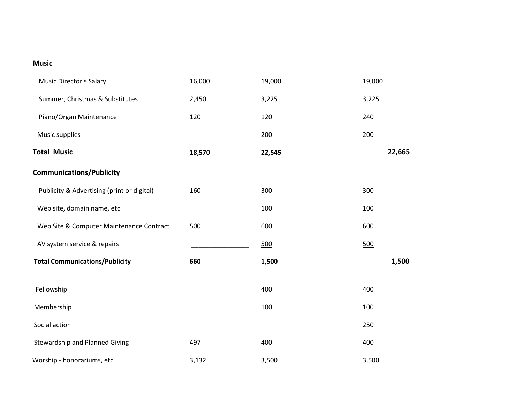#### **Music**

| <b>Music Director's Salary</b>             | 16,000 | 19,000 | 19,000 |
|--------------------------------------------|--------|--------|--------|
| Summer, Christmas & Substitutes            | 2,450  | 3,225  | 3,225  |
| Piano/Organ Maintenance                    | 120    | 120    | 240    |
| Music supplies                             |        | 200    | 200    |
| <b>Total Music</b>                         | 18,570 | 22,545 | 22,665 |
| <b>Communications/Publicity</b>            |        |        |        |
| Publicity & Advertising (print or digital) | 160    | 300    | 300    |
| Web site, domain name, etc                 |        | 100    | 100    |
| Web Site & Computer Maintenance Contract   | 500    | 600    | 600    |
| AV system service & repairs                |        | 500    | 500    |
| <b>Total Communications/Publicity</b>      | 660    | 1,500  | 1,500  |
|                                            |        |        |        |
| Fellowship                                 |        | 400    | 400    |
| Membership                                 |        | 100    | 100    |
| Social action                              |        |        | 250    |
| <b>Stewardship and Planned Giving</b>      | 497    | 400    | 400    |
| Worship - honorariums, etc                 | 3,132  | 3,500  | 3,500  |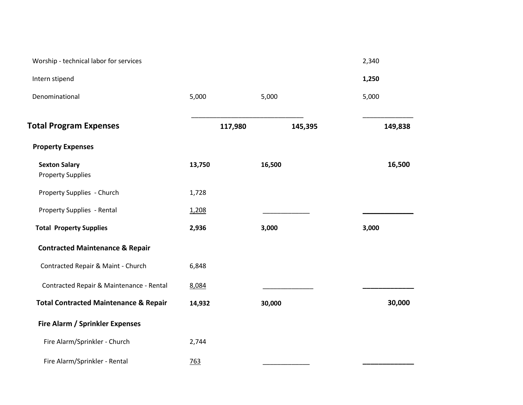| Worship - technical labor for services           |         |         | 2,340   |
|--------------------------------------------------|---------|---------|---------|
| Intern stipend                                   |         |         | 1,250   |
| Denominational                                   | 5,000   | 5,000   | 5,000   |
| <b>Total Program Expenses</b>                    | 117,980 | 145,395 | 149,838 |
| <b>Property Expenses</b>                         |         |         |         |
| <b>Sexton Salary</b><br><b>Property Supplies</b> | 13,750  | 16,500  | 16,500  |
| Property Supplies - Church                       | 1,728   |         |         |
| Property Supplies - Rental                       | 1,208   |         |         |
| <b>Total Property Supplies</b>                   | 2,936   | 3,000   | 3,000   |
| <b>Contracted Maintenance &amp; Repair</b>       |         |         |         |
| Contracted Repair & Maint - Church               | 6,848   |         |         |
| Contracted Repair & Maintenance - Rental         | 8,084   |         |         |
| <b>Total Contracted Maintenance &amp; Repair</b> | 14,932  | 30,000  | 30,000  |
| <b>Fire Alarm / Sprinkler Expenses</b>           |         |         |         |
| Fire Alarm/Sprinkler - Church                    | 2,744   |         |         |
| Fire Alarm/Sprinkler - Rental                    | 763     |         |         |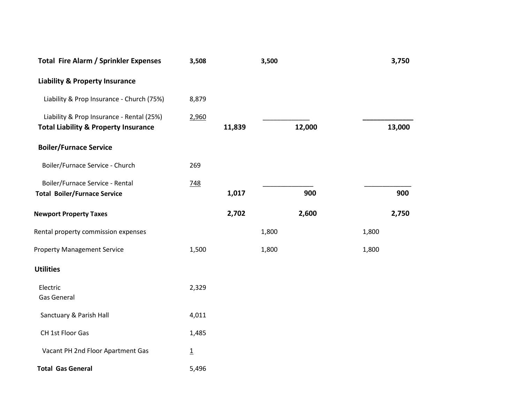| <b>Total Fire Alarm / Sprinkler Expenses</b>                                                 | 3,508          |        | 3,500  |     | 3,750  |
|----------------------------------------------------------------------------------------------|----------------|--------|--------|-----|--------|
| <b>Liability &amp; Property Insurance</b>                                                    |                |        |        |     |        |
| Liability & Prop Insurance - Church (75%)                                                    | 8,879          |        |        |     |        |
| Liability & Prop Insurance - Rental (25%)<br><b>Total Liability &amp; Property Insurance</b> | 2,960          | 11,839 | 12,000 |     | 13,000 |
| <b>Boiler/Furnace Service</b>                                                                |                |        |        |     |        |
| Boiler/Furnace Service - Church                                                              | 269            |        |        |     |        |
| Boiler/Furnace Service - Rental<br><b>Total Boiler/Furnace Service</b>                       | <u>748</u>     | 1,017  |        | 900 | 900    |
| <b>Newport Property Taxes</b>                                                                |                | 2,702  | 2,600  |     | 2,750  |
| Rental property commission expenses                                                          |                |        | 1,800  |     | 1,800  |
| <b>Property Management Service</b>                                                           | 1,500          |        | 1,800  |     | 1,800  |
| <b>Utilities</b>                                                                             |                |        |        |     |        |
| Electric<br>Gas General                                                                      | 2,329          |        |        |     |        |
| Sanctuary & Parish Hall                                                                      | 4,011          |        |        |     |        |
| CH 1st Floor Gas                                                                             | 1,485          |        |        |     |        |
| Vacant PH 2nd Floor Apartment Gas                                                            | $\overline{1}$ |        |        |     |        |
| <b>Total Gas General</b>                                                                     | 5,496          |        |        |     |        |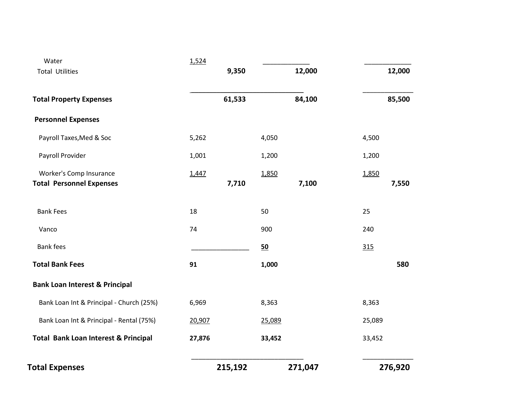| Water                                                      | 1,524  |         |        |         |        |         |
|------------------------------------------------------------|--------|---------|--------|---------|--------|---------|
| <b>Total Utilities</b>                                     |        | 9,350   |        | 12,000  |        | 12,000  |
| <b>Total Property Expenses</b>                             |        | 61,533  |        | 84,100  |        | 85,500  |
| <b>Personnel Expenses</b>                                  |        |         |        |         |        |         |
| Payroll Taxes, Med & Soc                                   | 5,262  |         | 4,050  |         | 4,500  |         |
| Payroll Provider                                           | 1,001  |         | 1,200  |         | 1,200  |         |
| Worker's Comp Insurance<br><b>Total Personnel Expenses</b> | 1,447  | 7,710   | 1,850  | 7,100   | 1,850  | 7,550   |
| <b>Bank Fees</b>                                           | 18     |         | 50     |         | 25     |         |
| Vanco                                                      | 74     |         | 900    |         | 240    |         |
| <b>Bank fees</b>                                           |        |         | 50     |         | 315    |         |
| <b>Total Bank Fees</b>                                     | 91     |         | 1,000  |         |        | 580     |
| <b>Bank Loan Interest &amp; Principal</b>                  |        |         |        |         |        |         |
| Bank Loan Int & Principal - Church (25%)                   | 6,969  |         | 8,363  |         | 8,363  |         |
| Bank Loan Int & Principal - Rental (75%)                   | 20,907 |         | 25,089 |         | 25,089 |         |
| <b>Total Bank Loan Interest &amp; Principal</b>            | 27,876 |         | 33,452 |         | 33,452 |         |
| <b>Total Expenses</b>                                      |        | 215,192 |        | 271,047 |        | 276,920 |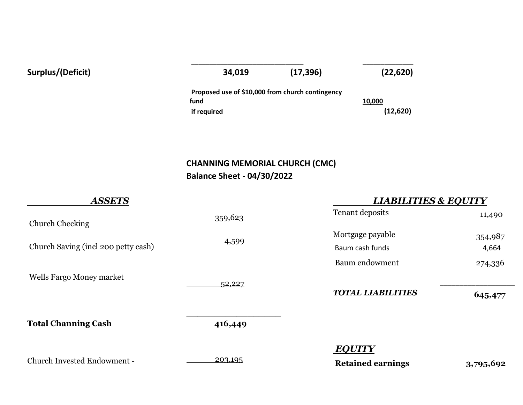| Surplus/(Deficit) | 34,019                                           | (17, 396) | (22, 620) |
|-------------------|--------------------------------------------------|-----------|-----------|
|                   | Proposed use of \$10,000 from church contingency |           |           |
|                   | fund                                             |           | 10,000    |
|                   | if required                                      |           | (12,620)  |
|                   |                                                  |           |           |

# **CHANNING MEMORIAL CHURCH (CMC) Balance Sheet - 04/30/2022**

| <b>ASSETS</b>                       |         | <b>LIABILITIES &amp; EQUITY</b> |           |  |
|-------------------------------------|---------|---------------------------------|-----------|--|
| <b>Church Checking</b>              | 359,623 | Tenant deposits                 | 11,490    |  |
|                                     |         | Mortgage payable                | 354,987   |  |
| Church Saving (incl 200 petty cash) | 4,599   | Baum cash funds                 | 4,664     |  |
|                                     |         | Baum endowment                  | 274,336   |  |
| Wells Fargo Money market            | 52,227  |                                 |           |  |
|                                     |         | <b>TOTAL LIABILITIES</b>        | 645,477   |  |
| <b>Total Channing Cash</b>          | 416,449 |                                 |           |  |
|                                     |         | <b>EQUITY</b>                   |           |  |
| Church Invested Endowment -         | 203,195 | <b>Retained earnings</b>        | 3,795,692 |  |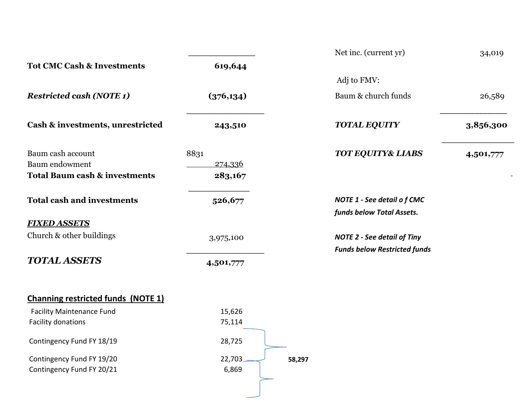|                                           |                                              | Net inc. (current yr)               | 34,019    |
|-------------------------------------------|----------------------------------------------|-------------------------------------|-----------|
| <b>Tot CMC Cash &amp; Investments</b>     | 619,644                                      |                                     |           |
|                                           |                                              | Adj to FMV:                         |           |
| <b>Restricted cash (NOTE 1)</b>           | (376, 134)                                   | Baum & church funds                 | 26,589    |
| Cash & investments, unrestricted          | 243,510                                      | <b>TOTAL EQUITY</b>                 | 3,856,300 |
| Baum cash account                         | 8831                                         | <b>TOT EQUITY&amp; LIABS</b>        | 4,501,777 |
| <b>Baum</b> endowment                     | <u>274,336</u>                               |                                     |           |
| <b>Total Baum cash &amp; investments</b>  | 283,167                                      |                                     |           |
| <b>Total cash and investments</b>         | 526,677<br><b>NOTE 1 - See detail of CMC</b> |                                     |           |
|                                           |                                              | funds below Total Assets.           |           |
| <b>FIXED ASSETS</b>                       |                                              |                                     |           |
| Church & other buildings                  | 3,975,100                                    | <b>NOTE 2 - See detail of Tiny</b>  |           |
|                                           |                                              | <b>Funds below Restricted funds</b> |           |
| <b>TOTAL ASSETS</b>                       | 4,501,777                                    |                                     |           |
| <b>Channing restricted funds (NOTE 1)</b> |                                              |                                     |           |
| <b>Facility Maintenance Fund</b>          | 15,626                                       |                                     |           |
| Facility donations                        | 75,114                                       |                                     |           |

Contingency Fund FY 18/19 28,725

Contingency Fund FY 19/20  $22,703$ Contingency Fund FY 20/21 6,869

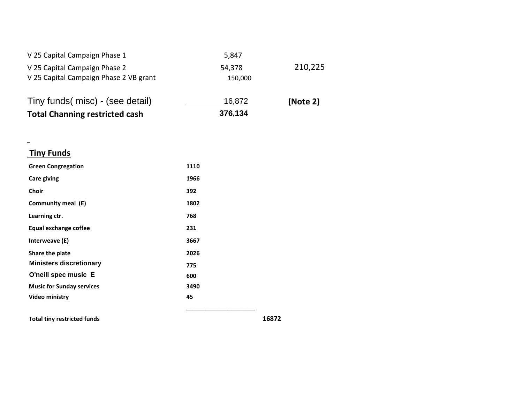| <b>Total Channing restricted cash</b>                                   | 376,134           |          |
|-------------------------------------------------------------------------|-------------------|----------|
| Tiny funds(misc) - (see detail)                                         | 16,872            | (Note 2) |
| V 25 Capital Campaign Phase 2<br>V 25 Capital Campaign Phase 2 VB grant | 54,378<br>150,000 | 210,225  |
| V 25 Capital Campaign Phase 1                                           | 5,847             |          |

| inv Funds |
|-----------|
|-----------|

 $\equiv$ 

| <b>Green Congregation</b>        | 1110 |  |
|----------------------------------|------|--|
| Care giving                      | 1966 |  |
| <b>Choir</b>                     | 392  |  |
| Community meal (E)               | 1802 |  |
| Learning ctr.                    | 768  |  |
| <b>Equal exchange coffee</b>     | 231  |  |
| Interweave (E)                   | 3667 |  |
| Share the plate                  | 2026 |  |
| <b>Ministers discretionary</b>   | 775  |  |
| O'neill spec music E             | 600  |  |
| <b>Music for Sunday services</b> | 3490 |  |
| Video ministry                   | 45   |  |
|                                  |      |  |

**Total tiny restricted funds 16872**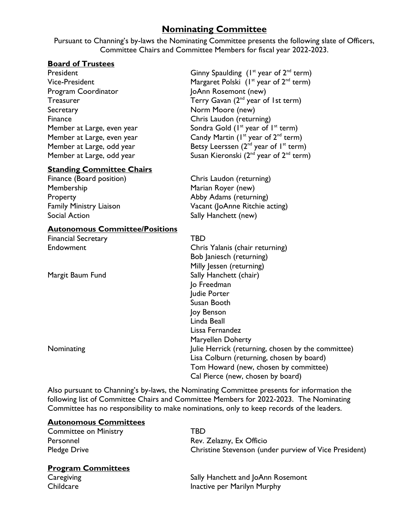## **Nominating Committee**

Pursuant to Channing's by-laws the Nominating Committee presents the following slate of Officers, Committee Chairs and Committee Members for fiscal year 2022-2023.

#### **Board of Trustees**

Program Coordinator **JoAnn Rosemont** (new) Secretary **Norm Moore** (new) Finance Chris Laudon (returning)

#### **Standing Committee Chairs**

Finance (Board position) Chris Laudon (returning) Membership Marian Royer (new) Property **Abby Adams (returning)** Social Action Social Action Sally Hanchett (new)

#### **Autonomous Committee/Positions**

Financial Secretary TBD

President  $\qquad \qquad \qquad \qquad \qquad \qquad \qquad \qquad \text{Ginny Spaulding (1<sup>st</sup> year of 2<sup>nd</sup> term)}$ Vice-President  $M$ argaret Polski (1st year of 2<sup>nd</sup> term) Teasurer Treasurer Terry Gavan (2<sup>nd</sup> year of 1st term) Member at Large, even year  $Sondra$  Gold ( $I<sup>st</sup>$  year of  $I<sup>st</sup>$  term) Member at Large, even year Candy Martin  $(I^{\text{st}})$  year of  $2^{\text{nd}}$  term) Member at Large, odd year Betsy Leerssen  $(2^{nd}$  year of  $1^{st}$  term) Member at Large, odd year Susan Kieronski  $(2^{nd}$  year of  $2^{nd}$  term)

Family Ministry Liaison Vacant (JoAnne Ritchie acting)

Endowment Chris Yalanis (chair returning) Bob Janiesch (returning) Milly Jessen (returning) Margit Baum Fund Sally Hanchett (chair) Jo Freedman Judie Porter Susan Booth Joy Benson Linda Beall Lissa Fernandez Maryellen Doherty Nominating Julie Herrick (returning, chosen by the committee) Lisa Colburn (returning, chosen by board) Tom Howard (new, chosen by committee) Cal Pierce (new, chosen by board)

Also pursuant to Channing's by-laws, the Nominating Committee presents for information the following list of Committee Chairs and Committee Members for 2022-2023. The Nominating Committee has no responsibility to make nominations, only to keep records of the leaders.

#### **Autonomous Committees**

| <b>Committee on Ministry</b> | TBD.                                                  |
|------------------------------|-------------------------------------------------------|
| Personnel                    | Rev. Zelazny, Ex Officio                              |
| <b>Pledge Drive</b>          | Christine Stevenson (under purview of Vice President) |

#### **Program Committees**

Caregiving Caregiving Sally Hanchett and JoAnn Rosemont Childcare **Institute 19 Childcare** Inactive per Marilyn Murphy